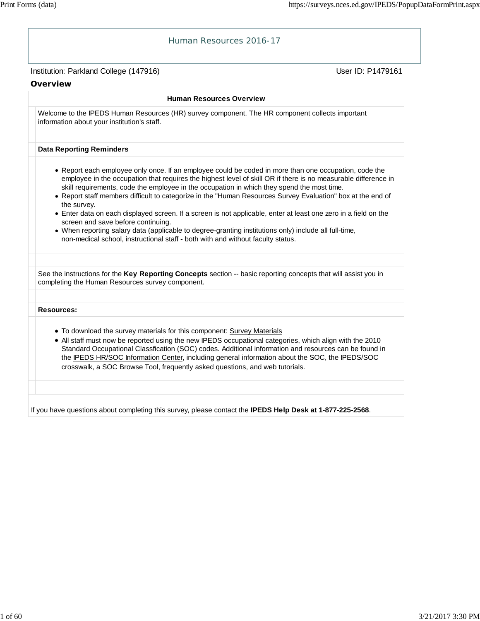| Human Resources 2016-17                                                                                                                                                                                                                                                                                                                                                                                                                                                                                                                                                                                                                                                                                                                                                                                  |                   |
|----------------------------------------------------------------------------------------------------------------------------------------------------------------------------------------------------------------------------------------------------------------------------------------------------------------------------------------------------------------------------------------------------------------------------------------------------------------------------------------------------------------------------------------------------------------------------------------------------------------------------------------------------------------------------------------------------------------------------------------------------------------------------------------------------------|-------------------|
| Institution: Parkland College (147916)                                                                                                                                                                                                                                                                                                                                                                                                                                                                                                                                                                                                                                                                                                                                                                   | User ID: P1479161 |
| Overview                                                                                                                                                                                                                                                                                                                                                                                                                                                                                                                                                                                                                                                                                                                                                                                                 |                   |
| <b>Human Resources Overview</b>                                                                                                                                                                                                                                                                                                                                                                                                                                                                                                                                                                                                                                                                                                                                                                          |                   |
| Welcome to the IPEDS Human Resources (HR) survey component. The HR component collects important<br>information about your institution's staff.                                                                                                                                                                                                                                                                                                                                                                                                                                                                                                                                                                                                                                                           |                   |
| <b>Data Reporting Reminders</b>                                                                                                                                                                                                                                                                                                                                                                                                                                                                                                                                                                                                                                                                                                                                                                          |                   |
| • Report each employee only once. If an employee could be coded in more than one occupation, code the<br>employee in the occupation that requires the highest level of skill OR if there is no measurable difference in<br>skill requirements, code the employee in the occupation in which they spend the most time.<br>. Report staff members difficult to categorize in the "Human Resources Survey Evaluation" box at the end of<br>the survey.<br>• Enter data on each displayed screen. If a screen is not applicable, enter at least one zero in a field on the<br>screen and save before continuing.<br>. When reporting salary data (applicable to degree-granting institutions only) include all full-time,<br>non-medical school, instructional staff - both with and without faculty status. |                   |
| See the instructions for the Key Reporting Concepts section -- basic reporting concepts that will assist you in<br>completing the Human Resources survey component.                                                                                                                                                                                                                                                                                                                                                                                                                                                                                                                                                                                                                                      |                   |
| <b>Resources:</b>                                                                                                                                                                                                                                                                                                                                                                                                                                                                                                                                                                                                                                                                                                                                                                                        |                   |
| . To download the survey materials for this component: Survey Materials<br>. All staff must now be reported using the new IPEDS occupational categories, which align with the 2010<br>Standard Occupational Classfication (SOC) codes. Additional information and resources can be found in<br>the IPEDS HR/SOC Information Center, including general information about the SOC, the IPEDS/SOC<br>crosswalk, a SOC Browse Tool, frequently asked questions, and web tutorials.                                                                                                                                                                                                                                                                                                                           |                   |
| If you have questions about completing this survey, please contact the IPEDS Help Desk at 1-877-225-2568.                                                                                                                                                                                                                                                                                                                                                                                                                                                                                                                                                                                                                                                                                                |                   |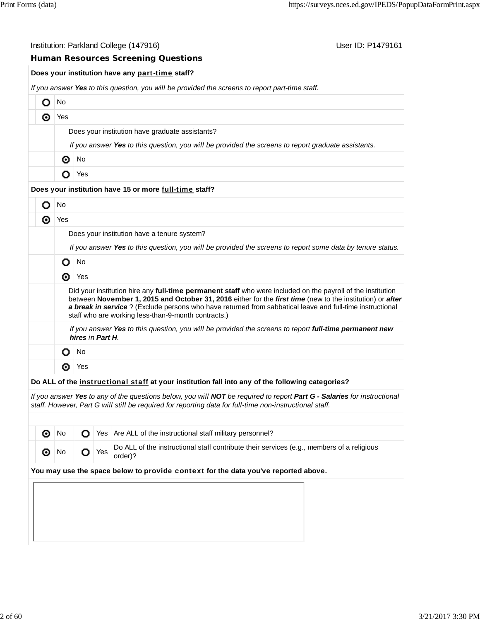|                                             |                                                                                                     |                                                 |     | Institution: Parkland College (147916)<br>User ID: P1479161                                                                                                                                                                                                                                                                                                                                 |  |  |  |  |  |  |  |  |
|---------------------------------------------|-----------------------------------------------------------------------------------------------------|-------------------------------------------------|-----|---------------------------------------------------------------------------------------------------------------------------------------------------------------------------------------------------------------------------------------------------------------------------------------------------------------------------------------------------------------------------------------------|--|--|--|--|--|--|--|--|
|                                             |                                                                                                     |                                                 |     | <b>Human Resources Screening Questions</b>                                                                                                                                                                                                                                                                                                                                                  |  |  |  |  |  |  |  |  |
|                                             |                                                                                                     |                                                 |     | Does your institution have any part-time staff?                                                                                                                                                                                                                                                                                                                                             |  |  |  |  |  |  |  |  |
|                                             |                                                                                                     |                                                 |     | If you answer Yes to this question, you will be provided the screens to report part-time staff.                                                                                                                                                                                                                                                                                             |  |  |  |  |  |  |  |  |
| O                                           | No                                                                                                  |                                                 |     |                                                                                                                                                                                                                                                                                                                                                                                             |  |  |  |  |  |  |  |  |
| ◉                                           | Yes                                                                                                 |                                                 |     |                                                                                                                                                                                                                                                                                                                                                                                             |  |  |  |  |  |  |  |  |
|                                             |                                                                                                     | Does your institution have graduate assistants? |     |                                                                                                                                                                                                                                                                                                                                                                                             |  |  |  |  |  |  |  |  |
|                                             | If you answer Yes to this question, you will be provided the screens to report graduate assistants. |                                                 |     |                                                                                                                                                                                                                                                                                                                                                                                             |  |  |  |  |  |  |  |  |
|                                             | ◉                                                                                                   | No                                              |     |                                                                                                                                                                                                                                                                                                                                                                                             |  |  |  |  |  |  |  |  |
|                                             | О                                                                                                   | Yes                                             |     |                                                                                                                                                                                                                                                                                                                                                                                             |  |  |  |  |  |  |  |  |
|                                             |                                                                                                     |                                                 |     | Does your institution have 15 or more full-time staff?                                                                                                                                                                                                                                                                                                                                      |  |  |  |  |  |  |  |  |
| О                                           | No                                                                                                  |                                                 |     |                                                                                                                                                                                                                                                                                                                                                                                             |  |  |  |  |  |  |  |  |
| ⊚                                           | Yes                                                                                                 |                                                 |     |                                                                                                                                                                                                                                                                                                                                                                                             |  |  |  |  |  |  |  |  |
| Does your institution have a tenure system? |                                                                                                     |                                                 |     |                                                                                                                                                                                                                                                                                                                                                                                             |  |  |  |  |  |  |  |  |
|                                             |                                                                                                     |                                                 |     | If you answer Yes to this question, you will be provided the screens to report some data by tenure status.                                                                                                                                                                                                                                                                                  |  |  |  |  |  |  |  |  |
|                                             | O                                                                                                   | No                                              |     |                                                                                                                                                                                                                                                                                                                                                                                             |  |  |  |  |  |  |  |  |
|                                             | ◉                                                                                                   | Yes                                             |     |                                                                                                                                                                                                                                                                                                                                                                                             |  |  |  |  |  |  |  |  |
|                                             |                                                                                                     |                                                 |     | Did your institution hire any full-time permanent staff who were included on the payroll of the institution<br>between November 1, 2015 and October 31, 2016 either for the first time (new to the institution) or after<br>a break in service? (Exclude persons who have returned from sabbatical leave and full-time instructional<br>staff who are working less-than-9-month contracts.) |  |  |  |  |  |  |  |  |
|                                             |                                                                                                     | hires in Part H.                                |     | If you answer Yes to this question, you will be provided the screens to report full-time permanent new                                                                                                                                                                                                                                                                                      |  |  |  |  |  |  |  |  |
|                                             | O                                                                                                   | No                                              |     |                                                                                                                                                                                                                                                                                                                                                                                             |  |  |  |  |  |  |  |  |
|                                             | ◉                                                                                                   | Yes                                             |     |                                                                                                                                                                                                                                                                                                                                                                                             |  |  |  |  |  |  |  |  |
|                                             |                                                                                                     |                                                 |     | Do ALL of the instructional staff at your institution fall into any of the following categories?                                                                                                                                                                                                                                                                                            |  |  |  |  |  |  |  |  |
|                                             |                                                                                                     |                                                 |     | If you answer Yes to any of the questions below, you will NOT be required to report Part G - Salaries for instructional<br>staff. However, Part G will still be required for reporting data for full-time non-instructional staff.                                                                                                                                                          |  |  |  |  |  |  |  |  |
|                                             |                                                                                                     |                                                 |     |                                                                                                                                                                                                                                                                                                                                                                                             |  |  |  |  |  |  |  |  |
| ⊙                                           | No                                                                                                  | О                                               | Yes | Are ALL of the instructional staff military personnel?                                                                                                                                                                                                                                                                                                                                      |  |  |  |  |  |  |  |  |
| ⊙                                           | No                                                                                                  | о                                               | Yes | Do ALL of the instructional staff contribute their services (e.g., members of a religious<br>order)?                                                                                                                                                                                                                                                                                        |  |  |  |  |  |  |  |  |

## **You may use the space below to** provide context **for the data you've reported above.**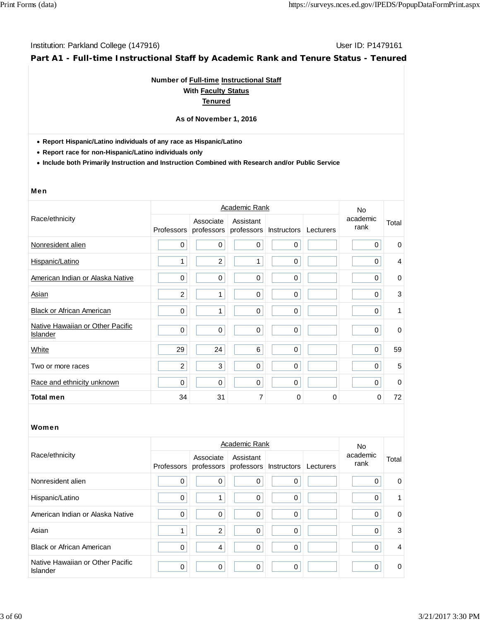**Part A1 - Full-time Instructional Staff by Academic Rank and Tenure Status - Tenured**

## **Number of Full-time Instructional Staff With Faculty Status Tenured**

#### **As of November 1, 2016**

**Report Hispanic/Latino individuals of any race as Hispanic/Latino**

**Report race for non-Hispanic/Latino individuals only**

**Include both Primarily Instruction and Instruction Combined with Research and/or Public Service**

#### Men

|                                              |                |                         | Academic Rank           |             |           | No.              |                |
|----------------------------------------------|----------------|-------------------------|-------------------------|-------------|-----------|------------------|----------------|
| Race/ethnicity                               | Professors     | Associate<br>professors | Assistant<br>professors | Instructors | Lecturers | academic<br>rank | Total          |
| Nonresident alien                            | 0              | 0                       | $\mathbf 0$             | $\mathbf 0$ |           | $\mathbf 0$      | $\mathbf 0$    |
| Hispanic/Latino                              | 1              | $\overline{c}$          | 1                       | $\mathbf 0$ |           | 0                | $\overline{4}$ |
| American Indian or Alaska Native             | 0              | $\mathbf 0$             | $\mathbf 0$             | $\mathbf 0$ |           | $\Omega$         | $\mathbf 0$    |
| Asian                                        | $\overline{c}$ | 1                       | $\mathbf 0$             | $\mathbf 0$ |           | $\Omega$         | 3              |
| <b>Black or African American</b>             | 0              | 1                       | $\mathbf 0$             | $\mathbf 0$ |           | $\Omega$         | 1              |
| Native Hawaiian or Other Pacific<br>Islander | $\mathbf 0$    | $\mathbf 0$             | $\pmb{0}$               | $\pmb{0}$   |           | 0                | $\mathbf 0$    |
| White                                        | 29             | 24                      | 6                       | $\mathbf 0$ |           | $\mathbf 0$      | 59             |
| Two or more races                            | 2              | 3                       | $\mathbf 0$             | $\Omega$    |           | $\Omega$         | 5              |
| Race and ethnicity unknown                   | 0              | 0                       | 0                       | $\Omega$    |           | $\Omega$         | $\mathbf 0$    |
| <b>Total men</b>                             | 34             | 31                      | 7                       | $\Omega$    | 0         | $\Omega$         | 72             |

|                                              |             |                                                           | No          |              |           |                  |                |
|----------------------------------------------|-------------|-----------------------------------------------------------|-------------|--------------|-----------|------------------|----------------|
| Race/ethnicity                               |             | Associate<br>Professors professors professors Instructors | Assistant   |              | Lecturers | academic<br>rank | Total          |
| Nonresident alien                            | 0           | 0                                                         | 0           | 0            |           | $\Omega$         | $\mathbf 0$    |
| Hispanic/Latino                              | 0           | 1                                                         | 0           | $\mathbf{0}$ |           | $\Omega$         | 1              |
| American Indian or Alaska Native             | 0           | 0                                                         | 0           | $\Omega$     |           | 0                | 0              |
| Asian                                        |             | 2                                                         | 0           | $\Omega$     |           | $\Omega$         | 3              |
| <b>Black or African American</b>             | $\mathbf 0$ | $\overline{4}$                                            | $\mathbf 0$ | $\Omega$     |           | $\Omega$         | $\overline{4}$ |
| Native Hawaiian or Other Pacific<br>Islander | $\mathbf 0$ | 0                                                         | 0           | 0            |           | $\Omega$         | $\mathbf 0$    |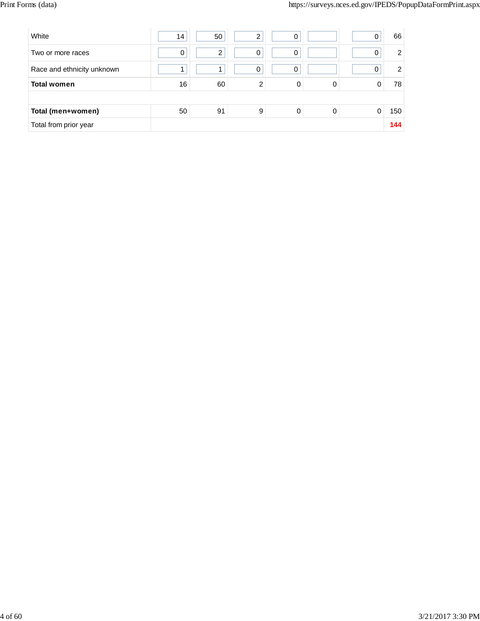| White                      | 14 | 50 | ◠ | 0 |   |   | 66             |
|----------------------------|----|----|---|---|---|---|----------------|
| Two or more races          | 0  | 2  | 0 | 0 |   |   | $\overline{2}$ |
| Race and ethnicity unknown |    |    | 0 | 0 |   |   | $\overline{2}$ |
| <b>Total women</b>         | 16 | 60 | 2 | 0 | 0 |   | 78             |
|                            |    |    |   |   |   |   |                |
| Total (men+women)          | 50 | 91 | 9 | 0 | 0 | 0 | 150            |
| Total from prior year      |    |    |   |   |   |   | 144            |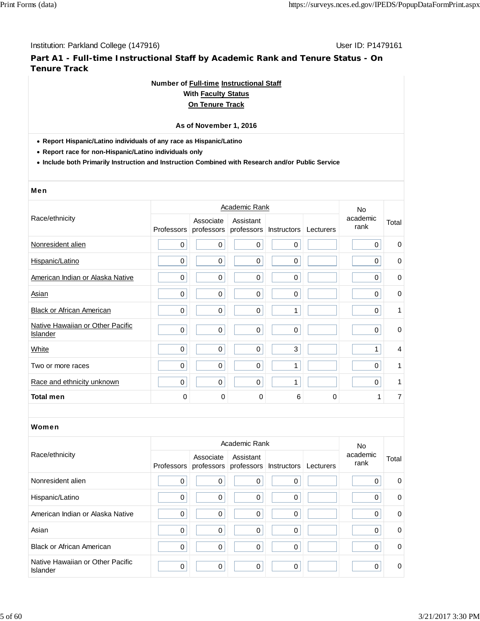**Part A1 - Full-time Instructional Staff by Academic Rank and Tenure Status - On Tenure Track**

## **Number of Full-time Instructional Staff**

## **With Faculty Status On Tenure Track**

# **As of November 1, 2016**

**Report Hispanic/Latino individuals of any race as Hispanic/Latino**

**Report race for non-Hispanic/Latino individuals only**

**Include both Primarily Instruction and Instruction Combined with Research and/or Public Service**

#### Men

|                                              |                   |                         | Academic Rank           |                    |           | No               |                |
|----------------------------------------------|-------------------|-------------------------|-------------------------|--------------------|-----------|------------------|----------------|
| Race/ethnicity                               | <b>Professors</b> | Associate<br>professors | Assistant<br>professors | <b>Instructors</b> | Lecturers | academic<br>rank | Total          |
| Nonresident alien                            | 0                 | $\mathbf 0$             | $\mathbf 0$             | $\mathbf 0$        |           | 0                | $\mathbf 0$    |
| Hispanic/Latino                              | $\mathbf 0$       | $\mathbf 0$             | $\mathbf 0$             | $\mathbf 0$        |           | 0                | $\mathbf 0$    |
| American Indian or Alaska Native             | $\mathbf 0$       | $\mathbf 0$             | $\mathbf 0$             | $\mathbf 0$        |           | 0                | 0              |
| Asian                                        | 0                 | $\mathbf 0$             | $\mathbf 0$             | $\mathbf 0$        |           | 0                | $\mathbf 0$    |
| <b>Black or African American</b>             | 0                 | $\mathbf 0$             | $\mathbf 0$             | 1                  |           | $\mathbf 0$      | 1              |
| Native Hawaiian or Other Pacific<br>Islander | 0                 | $\mathbf 0$             | $\mathbf 0$             | $\mathbf 0$        |           | 0                | $\mathbf 0$    |
| White                                        | 0                 | $\mathbf 0$             | $\mathbf 0$             | 3                  |           | 1                | $\overline{4}$ |
| Two or more races                            | 0                 | $\mathbf 0$             | $\mathbf 0$             | 1                  |           | 0                | 1              |
| Race and ethnicity unknown                   | 0                 | $\mathbf 0$             | $\mathbf 0$             | 1                  |           | $\mathbf 0$      | 1              |
| <b>Total men</b>                             | 0                 | 0                       | 0                       | 6                  | 0         | 1                | 7              |

|                                              |                   |             | Academic Rank                                  |          |           | No.              |             |
|----------------------------------------------|-------------------|-------------|------------------------------------------------|----------|-----------|------------------|-------------|
| Race/ethnicity                               | <b>Professors</b> | Associate   | Assistant<br>professors professors Instructors |          | Lecturers | academic<br>rank | Total       |
| Nonresident alien                            | $\mathbf 0$       | 0           | 0                                              | $\Omega$ |           | $\Omega$         | 0           |
| Hispanic/Latino                              | $\mathbf 0$       | 0           | 0                                              | $\Omega$ |           | 0                | 0           |
| American Indian or Alaska Native             | $\mathbf 0$       | 0           | 0                                              | 0        |           | 0                | 0           |
| Asian                                        | $\mathbf 0$       | $\mathbf 0$ | 0                                              | $\Omega$ |           | 0                | 0           |
| <b>Black or African American</b>             | $\mathbf 0$       | $\mathbf 0$ | 0                                              | $\Omega$ |           | $\Omega$         | $\mathbf 0$ |
| Native Hawaiian or Other Pacific<br>Islander | $\mathbf 0$       | 0           | 0                                              | $\Omega$ |           | 0                | 0           |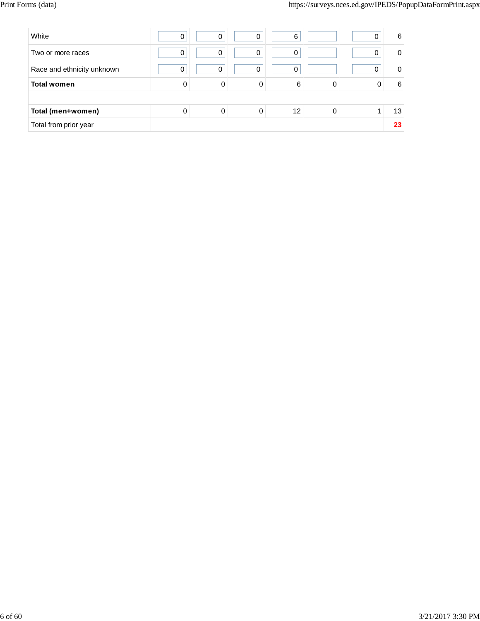| White                      | 0 | $\Omega$ | 0 | 6  |  | 6  |
|----------------------------|---|----------|---|----|--|----|
| Two or more races          | 0 | 0        | 0 | 0  |  | 0  |
| Race and ethnicity unknown | 0 | 0        | 0 | 0  |  | 0  |
| <b>Total women</b>         | 0 | 0        | 0 | 6  |  | 6  |
|                            |   |          |   |    |  |    |
| Total (men+women)          | 0 | 0        | 0 | 12 |  | 13 |
| Total from prior year      |   |          |   |    |  | 23 |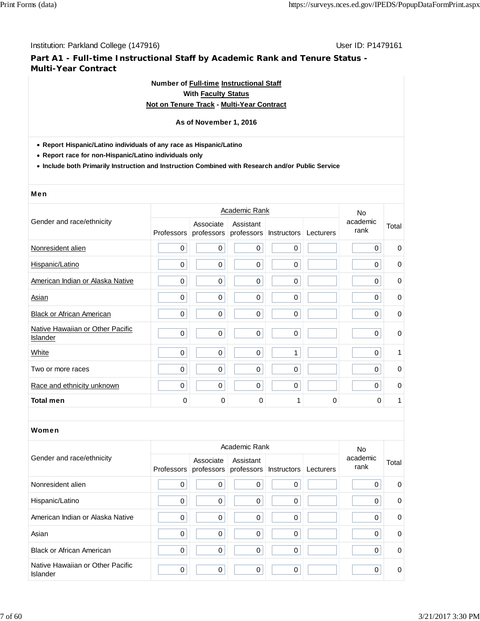**Part A1 - Full-time Instructional Staff by Academic Rank and Tenure Status - Multi-Year Contract**

# **Number of Full-time Instructional Staff**

## **With Faculty Status Not on Tenure Track - Multi-Year Contract**

## **As of November 1, 2016**

- **Report Hispanic/Latino individuals of any race as Hispanic/Latino**
- **Report race for non-Hispanic/Latino individuals only**
- **Include both Primarily Instruction and Instruction Combined with Research and/or Public Service**

#### Men

|                                              |                   |                  | Academic Rank                                  |             |           | No.              |             |
|----------------------------------------------|-------------------|------------------|------------------------------------------------|-------------|-----------|------------------|-------------|
| Gender and race/ethnicity                    | <b>Professors</b> | Associate        | Assistant<br>professors professors Instructors |             | Lecturers | academic<br>rank | Total       |
| Nonresident alien                            | 0                 | $\mathbf 0$      | $\mathbf 0$                                    | $\mathbf 0$ |           | $\Omega$         | 0           |
| Hispanic/Latino                              | 0                 | $\boldsymbol{0}$ | $\mathbf 0$                                    | $\mathbf 0$ |           | $\mathbf 0$      | 0           |
| American Indian or Alaska Native             | 0                 | $\mathbf 0$      | $\mathbf 0$                                    | $\mathbf 0$ |           | 0                | $\mathbf 0$ |
| Asian                                        | 0                 | $\mathbf 0$      | $\mathbf 0$                                    | $\mathbf 0$ |           | $\Omega$         | $\mathbf 0$ |
| <b>Black or African American</b>             | 0                 | $\mathbf 0$      | $\mathbf 0$                                    | $\mathbf 0$ |           | 0                | $\mathbf 0$ |
| Native Hawaiian or Other Pacific<br>Islander | 0                 | $\boldsymbol{0}$ | $\pmb{0}$                                      | $\pmb{0}$   |           | $\mathbf 0$      | $\mathbf 0$ |
| White                                        | 0                 | $\mathbf 0$      | $\mathbf 0$                                    | 1           |           | $\mathbf 0$      | 1           |
| Two or more races                            | 0                 | $\mathbf 0$      | $\mathbf 0$                                    | $\mathbf 0$ |           | $\Omega$         | $\mathbf 0$ |
| Race and ethnicity unknown                   | 0                 | 0                | $\mathbf 0$                                    | $\Omega$    |           | $\Omega$         | 0           |
| <b>Total men</b>                             | 0                 | $\Omega$         | $\mathbf 0$                                    |             | 0         | 0                | 1           |

|                                              |   |           | Academic Rank                                                   |          |           | No.              |             |
|----------------------------------------------|---|-----------|-----------------------------------------------------------------|----------|-----------|------------------|-------------|
| Gender and race/ethnicity                    |   | Associate | Assistant<br>Professors   professors   professors   Instructors |          | Lecturers | academic<br>rank | Total       |
| Nonresident alien                            | 0 | 0         | 0                                                               | $\Omega$ |           |                  | $\mathbf 0$ |
| Hispanic/Latino                              | 0 | 0         | 0                                                               | 0        |           | 0                | 0           |
| American Indian or Alaska Native             | 0 | 0         | $\Omega$                                                        | 0        |           | $\Omega$         | 0           |
| Asian                                        | 0 | 0         | 0                                                               | $\Omega$ |           |                  | 0           |
| <b>Black or African American</b>             | 0 | 0         | $\mathbf 0$                                                     | $\Omega$ |           | 0                | $\mathbf 0$ |
| Native Hawaiian or Other Pacific<br>Islander | 0 | 0         | $\mathbf 0$                                                     | 0        |           | $\Omega$         | $\mathbf 0$ |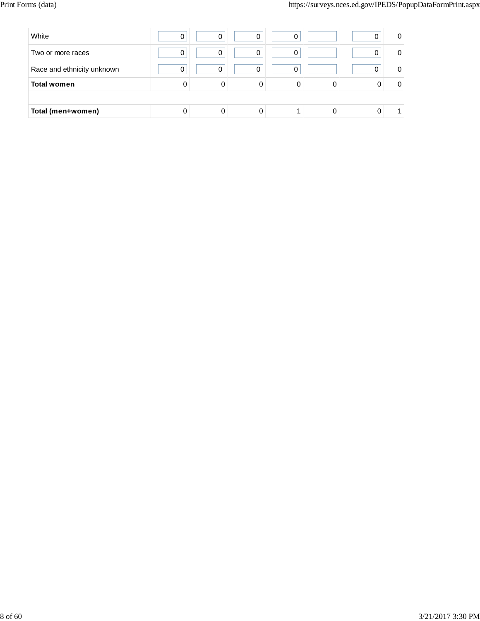| White                      | 0 | 0 | 0 | 0 |  | 0        |
|----------------------------|---|---|---|---|--|----------|
| Two or more races          | 0 | 0 | 0 | 0 |  | 0        |
| Race and ethnicity unknown | 0 | 0 | n | O |  | $\Omega$ |
| <b>Total women</b>         | 0 | 0 | 0 | 0 |  | 0        |
|                            |   |   |   |   |  |          |
| Total (men+women)          |   |   | 0 |   |  |          |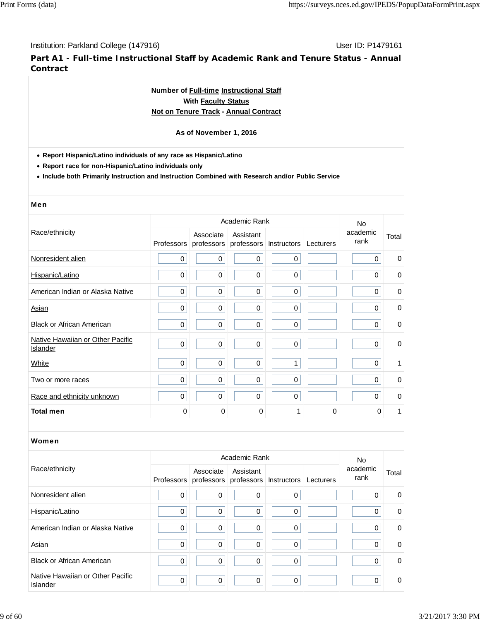**Part A1 - Full-time Instructional Staff by Academic Rank and Tenure Status - Annual Contract**

## **Number of Full-time Instructional Staff With Faculty Status Not on Tenure Track - Annual Contract**

## **As of November 1, 2016**

**Report Hispanic/Latino individuals of any race as Hispanic/Latino**

**Report race for non-Hispanic/Latino individuals only**

**Include both Primarily Instruction and Instruction Combined with Research and/or Public Service**

#### Men

|                                              |            |                         | Academic Rank           |                    |           | No.              |             |
|----------------------------------------------|------------|-------------------------|-------------------------|--------------------|-----------|------------------|-------------|
| Race/ethnicity                               | Professors | Associate<br>professors | Assistant<br>professors | <b>Instructors</b> | Lecturers | academic<br>rank | Total       |
| Nonresident alien                            | 0          | $\pmb{0}$               | 0                       | 0                  |           | 0                | $\mathbf 0$ |
| Hispanic/Latino                              | 0          | $\pmb{0}$               | 0                       | $\mathbf 0$        |           | 0                | 0           |
| American Indian or Alaska Native             | 0          | $\pmb{0}$               | 0                       | $\pmb{0}$          |           | 0                | 0           |
| Asian                                        | 0          | $\mathbf 0$             | $\mathbf 0$             | $\mathbf 0$        |           | 0                | $\mathbf 0$ |
| <b>Black or African American</b>             | 0          | $\pmb{0}$               | $\pmb{0}$               | $\mathbf 0$        |           | $\mathbf 0$      | $\mathbf 0$ |
| Native Hawaiian or Other Pacific<br>Islander | 0          | $\mathbf 0$             | $\pmb{0}$               | $\pmb{0}$          |           | $\mathbf 0$      | 0           |
| White                                        | 0          | $\mathbf 0$             | $\mathbf 0$             | 1                  |           | $\mathbf 0$      | 1           |
| Two or more races                            | 0          | $\mathbf 0$             | $\mathbf 0$             | $\mathbf 0$        |           | $\Omega$         | $\mathbf 0$ |
| Race and ethnicity unknown                   | 0          | $\boldsymbol{0}$        | $\mathbf 0$             | $\mathbf 0$        |           | $\Omega$         | $\mathbf 0$ |
| <b>Total men</b>                             | 0          | $\Omega$                | $\mathbf 0$             |                    | $\Omega$  | $\Omega$         | 1           |

|                                              |             | No.                                                       |             |             |           |                  |             |
|----------------------------------------------|-------------|-----------------------------------------------------------|-------------|-------------|-----------|------------------|-------------|
| Race/ethnicity                               |             | Associate<br>Professors professors professors Instructors | Assistant   |             | Lecturers | academic<br>rank | Total       |
| Nonresident alien                            | $\mathbf 0$ | $\mathbf 0$                                               | 0           | $\Omega$    |           | 0                | 0           |
| Hispanic/Latino                              | 0           | 0                                                         | 0           | $\Omega$    |           | 0                | $\mathbf 0$ |
| American Indian or Alaska Native             | 0           | 0                                                         | 0           | $\Omega$    |           | 0                | 0           |
| Asian                                        | 0           | 0                                                         | $\Omega$    | $\Omega$    |           | $\Omega$         | $\Omega$    |
| <b>Black or African American</b>             | 0           | 0                                                         | 0           | $\Omega$    |           | $\Omega$         | $\mathbf 0$ |
| Native Hawaiian or Other Pacific<br>Islander | 0           | 0                                                         | $\mathbf 0$ | $\mathbf 0$ |           | $\Omega$         | 0           |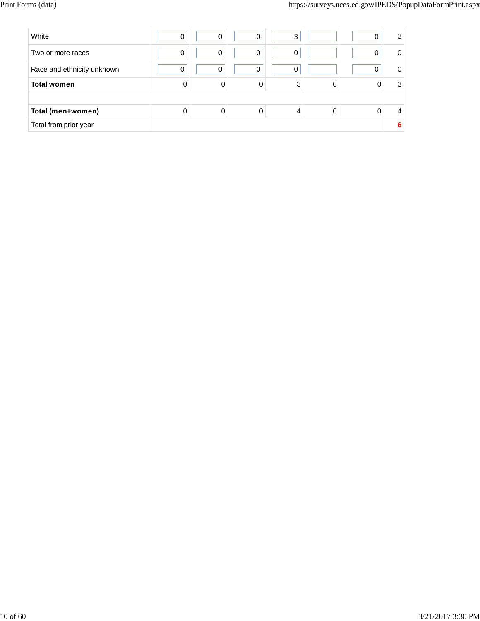| White                      | 0 | 0 | 0 | 3 |  | 3 |
|----------------------------|---|---|---|---|--|---|
| Two or more races          | 0 | 0 | 0 | 0 |  | 0 |
| Race and ethnicity unknown | 0 | 0 | 0 | 0 |  | 0 |
| <b>Total women</b>         | 0 | 0 | 0 | 3 |  | 3 |
|                            |   |   |   |   |  |   |
| Total (men+women)          | 0 | 0 | 0 | 4 |  | 4 |
| Total from prior year      |   |   |   |   |  | 6 |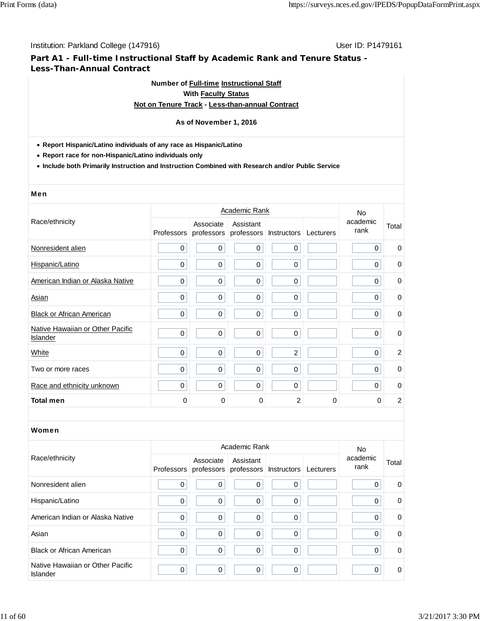## **Part A1 - Full-time Instructional Staff by Academic Rank and Tenure Status - Less-Than-Annual Contract**

## **Number of Full-time Instructional Staff With Faculty Status Not on Tenure Track - Less-than-annual Contract**

# **As of November 1, 2016**

#### **Report Hispanic/Latino individuals of any race as Hispanic/Latino**

**Report race for non-Hispanic/Latino individuals only**

**Include both Primarily Instruction and Instruction Combined with Research and/or Public Service**

#### Men

|                                              |            |                         | <b>No</b>               |                |           |                  |                |
|----------------------------------------------|------------|-------------------------|-------------------------|----------------|-----------|------------------|----------------|
| Race/ethnicity                               | Professors | Associate<br>professors | Assistant<br>professors | Instructors    | Lecturers | academic<br>rank | Total          |
| Nonresident alien                            | 0          | $\pmb{0}$               | 0                       | $\pmb{0}$      |           | 0                | 0              |
| Hispanic/Latino                              | 0          | $\pmb{0}$               | 0                       | $\mathbf 0$    |           | 0                | 0              |
| American Indian or Alaska Native             | 0          | $\pmb{0}$               | 0                       | $\mathbf 0$    |           | $\mathbf 0$      | $\mathbf 0$    |
| Asian                                        | 0          | $\mathbf 0$             | $\mathbf 0$             | $\mathbf 0$    |           | $\Omega$         | $\mathbf 0$    |
| <b>Black or African American</b>             | 0          | $\pmb{0}$               | $\pmb{0}$               | $\mathbf 0$    |           | $\Omega$         | $\mathbf 0$    |
| Native Hawaiian or Other Pacific<br>Islander | 0          | $\boldsymbol{0}$        | $\pmb{0}$               | $\pmb{0}$      |           | $\mathbf 0$      | $\mathbf 0$    |
| White                                        | 0          | $\boldsymbol{0}$        | $\pmb{0}$               | $\overline{c}$ |           | $\Omega$         | 2              |
| Two or more races                            | 0          | $\mathbf 0$             | $\mathbf 0$             | $\mathbf 0$    |           | $\Omega$         | $\mathbf 0$    |
| Race and ethnicity unknown                   | 0          | $\boldsymbol{0}$        | $\mathbf 0$             | $\mathbf 0$    |           | $\Omega$         | $\mathbf 0$    |
| <b>Total men</b>                             | 0          | $\Omega$                | $\mathbf 0$             | 2              | $\Omega$  | 0                | $\overline{c}$ |

|                                              |   |             | No.                                                       |          |           |                  |             |
|----------------------------------------------|---|-------------|-----------------------------------------------------------|----------|-----------|------------------|-------------|
| Race/ethnicity                               |   | Associate   | Assistant<br>Professors professors professors Instructors |          | Lecturers | academic<br>rank | Total       |
| Nonresident alien                            | 0 | 0           | $\mathbf 0$                                               | $\Omega$ |           |                  | 0           |
| Hispanic/Latino                              | 0 | $\pmb{0}$   | 0                                                         | 0        |           | 0                | $\mathbf 0$ |
| American Indian or Alaska Native             | 0 | $\mathbf 0$ | $\mathbf 0$                                               | $\Omega$ |           | $\Omega$         | 0           |
| Asian                                        | 0 | $\mathbf 0$ | $\mathbf 0$                                               | 0        |           |                  | 0           |
| <b>Black or African American</b>             | 0 | 0           | $\mathbf 0$                                               | $\Omega$ |           | $\Omega$         | $\mathbf 0$ |
| Native Hawaiian or Other Pacific<br>Islander | 0 | $\Omega$    | $\mathbf 0$                                               | $\Omega$ |           | $\Omega$         | $\mathbf 0$ |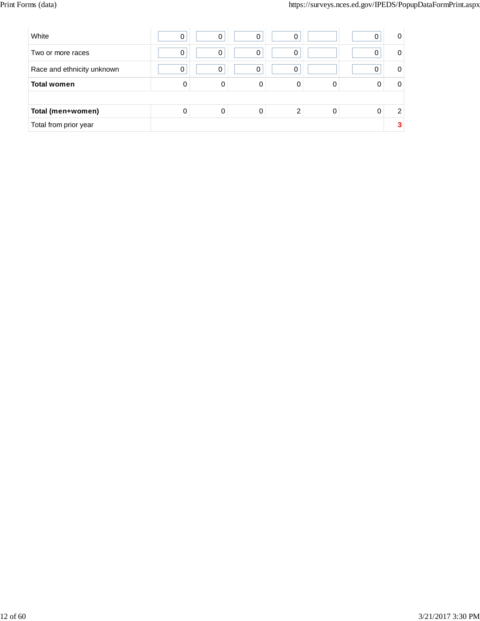| White                      | 0 | $\Omega$ | 0 | 0 |  | 0 |
|----------------------------|---|----------|---|---|--|---|
| Two or more races          | 0 | 0        | 0 | 0 |  | 0 |
| Race and ethnicity unknown | 0 | 0        | 0 | 0 |  | 0 |
| <b>Total women</b>         | 0 | 0        | 0 | 0 |  | 0 |
|                            |   |          |   |   |  |   |
| Total (men+women)          | 0 | 0        | 0 |   |  | 2 |
| Total from prior year      |   |          |   |   |  |   |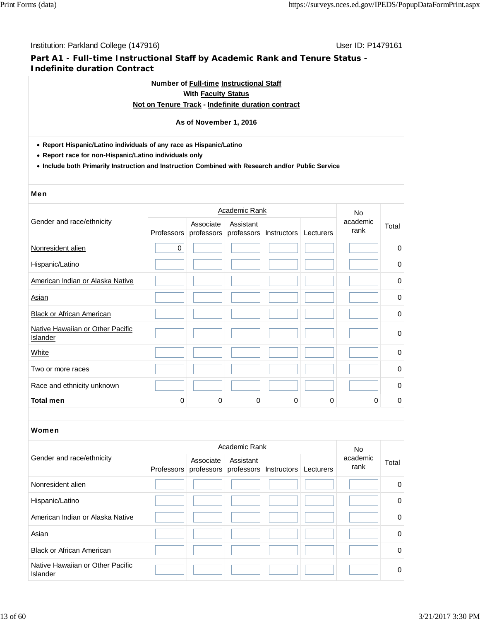## **Part A1 - Full-time Instructional Staff by Academic Rank and Tenure Status - Indefinite duration Contract**

## **Number of Full-time Instructional Staff With Faculty Status**

## **Not on Tenure Track - Indefinite duration contract**

### **As of November 1, 2016**

- **Report Hispanic/Latino individuals of any race as Hispanic/Latino**
- **Report race for non-Hispanic/Latino individuals only**
- **Include both Primarily Instruction and Instruction Combined with Research and/or Public Service**

#### Men

|                                              |           |                                    | <b>Academic Rank</b>    |             |           | <b>No</b>        |             |
|----------------------------------------------|-----------|------------------------------------|-------------------------|-------------|-----------|------------------|-------------|
| Gender and race/ethnicity                    |           | Associate<br>Professors professors | Assistant<br>professors | Instructors | Lecturers | academic<br>rank | Total       |
| Nonresident alien                            | $\pmb{0}$ |                                    |                         |             |           |                  | 0           |
| Hispanic/Latino                              |           |                                    |                         |             |           |                  | 0           |
| American Indian or Alaska Native             |           |                                    |                         |             |           |                  | 0           |
| Asian                                        |           |                                    |                         |             |           |                  | 0           |
| <b>Black or African American</b>             |           |                                    |                         |             |           |                  | 0           |
| Native Hawaiian or Other Pacific<br>Islander |           |                                    |                         |             |           |                  | $\mathbf 0$ |
| White                                        |           |                                    |                         |             |           |                  | 0           |
| Two or more races                            |           |                                    |                         |             |           |                  | 0           |
| Race and ethnicity unknown                   |           |                                    |                         |             |           |                  | 0           |
| <b>Total men</b>                             | 0         | 0                                  | 0                       | 0           | 0         | 0                | 0           |

| Gender and race/ethnicity                    |  | Associate | Academic Rank<br>Assistant<br>Professors professors professors Instructors | Lecturers | <b>No</b><br>academic<br>rank | Total    |
|----------------------------------------------|--|-----------|----------------------------------------------------------------------------|-----------|-------------------------------|----------|
| Nonresident alien                            |  |           |                                                                            |           |                               | $\Omega$ |
| Hispanic/Latino                              |  |           |                                                                            |           |                               | 0        |
| American Indian or Alaska Native             |  |           |                                                                            |           |                               | $\Omega$ |
| Asian                                        |  |           |                                                                            |           |                               | $\Omega$ |
| <b>Black or African American</b>             |  |           |                                                                            |           |                               | $\Omega$ |
| Native Hawaiian or Other Pacific<br>Islander |  |           |                                                                            |           |                               | $\Omega$ |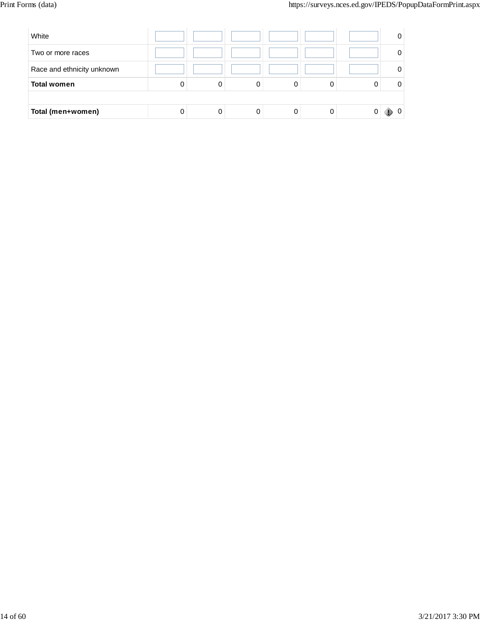| White                      |   |   |   | 0 |
|----------------------------|---|---|---|---|
| Two or more races          |   |   |   | 0 |
| Race and ethnicity unknown |   |   |   | 0 |
| <b>Total women</b>         | 0 | 0 | 0 | 0 |
|                            |   |   |   |   |
| Total (men+women)          | 0 |   |   |   |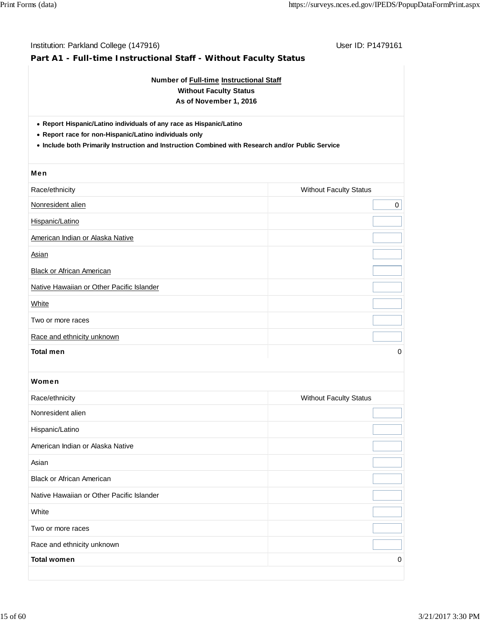| Number of Full-time Instructional Staff<br><b>Without Faculty Status</b><br>As of November 1, 2016                                                                                                                                 |                               |  |  |  |  |  |  |
|------------------------------------------------------------------------------------------------------------------------------------------------------------------------------------------------------------------------------------|-------------------------------|--|--|--|--|--|--|
| • Report Hispanic/Latino individuals of any race as Hispanic/Latino<br>• Report race for non-Hispanic/Latino individuals only<br>. Include both Primarily Instruction and Instruction Combined with Research and/or Public Service |                               |  |  |  |  |  |  |
| Men                                                                                                                                                                                                                                |                               |  |  |  |  |  |  |
| Race/ethnicity                                                                                                                                                                                                                     | <b>Without Faculty Status</b> |  |  |  |  |  |  |
| Nonresident alien                                                                                                                                                                                                                  | 0                             |  |  |  |  |  |  |
| Hispanic/Latino                                                                                                                                                                                                                    |                               |  |  |  |  |  |  |
| American Indian or Alaska Native                                                                                                                                                                                                   |                               |  |  |  |  |  |  |
| <b>Asian</b>                                                                                                                                                                                                                       |                               |  |  |  |  |  |  |
| <b>Black or African American</b>                                                                                                                                                                                                   |                               |  |  |  |  |  |  |
| Native Hawaiian or Other Pacific Islander                                                                                                                                                                                          |                               |  |  |  |  |  |  |
| White                                                                                                                                                                                                                              |                               |  |  |  |  |  |  |
| Two or more races                                                                                                                                                                                                                  |                               |  |  |  |  |  |  |
| Race and ethnicity unknown                                                                                                                                                                                                         |                               |  |  |  |  |  |  |
| <b>Total men</b>                                                                                                                                                                                                                   | 0                             |  |  |  |  |  |  |
| Women                                                                                                                                                                                                                              |                               |  |  |  |  |  |  |
| Race/ethnicity                                                                                                                                                                                                                     | <b>Without Faculty Status</b> |  |  |  |  |  |  |
| Nonresident alien                                                                                                                                                                                                                  |                               |  |  |  |  |  |  |
| Hispanic/Latino                                                                                                                                                                                                                    |                               |  |  |  |  |  |  |
| American Indian or Alaska Native                                                                                                                                                                                                   |                               |  |  |  |  |  |  |
| Asian                                                                                                                                                                                                                              |                               |  |  |  |  |  |  |
| <b>Black or African American</b>                                                                                                                                                                                                   |                               |  |  |  |  |  |  |
| Native Hawaiian or Other Pacific Islander                                                                                                                                                                                          |                               |  |  |  |  |  |  |
| White                                                                                                                                                                                                                              |                               |  |  |  |  |  |  |
| Two or more races                                                                                                                                                                                                                  |                               |  |  |  |  |  |  |
| Race and ethnicity unknown                                                                                                                                                                                                         |                               |  |  |  |  |  |  |
|                                                                                                                                                                                                                                    |                               |  |  |  |  |  |  |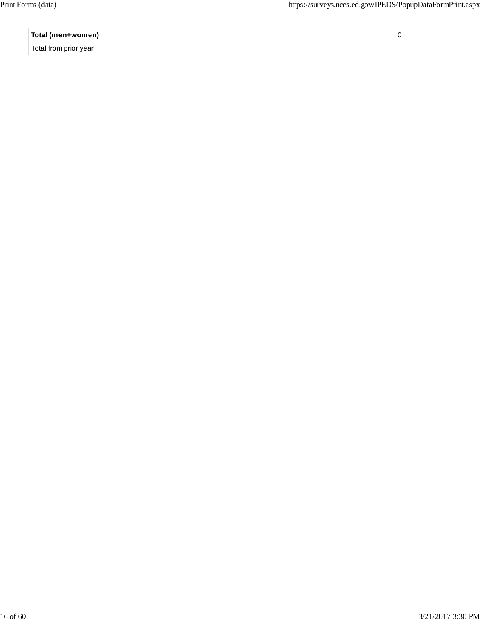| Total (men+women)     |  |
|-----------------------|--|
| Total from prior year |  |
|                       |  |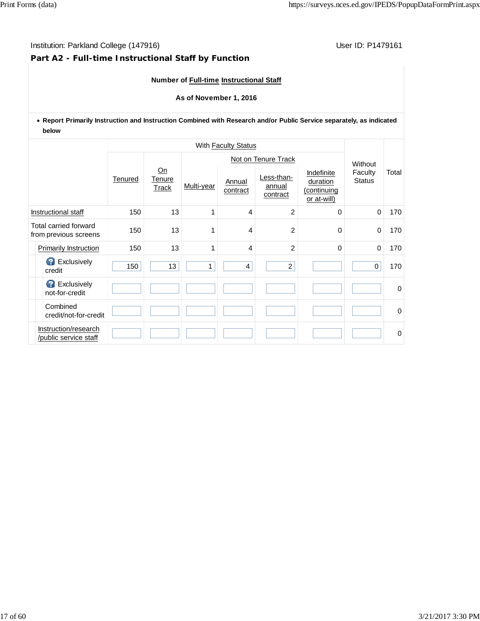## **Part A2 - Full-time Instructional Staff by Function**

## **Number of Full-time Instructional Staff**

#### **As of November 1, 2016**

## **Report Primarily Instruction and Instruction Combined with Research and/or Public Service separately, as indicated below**

|                     |                                                       |     |                              |            | With <b>Faculty Status</b> |                                  |                                                      |                          |          |  |
|---------------------|-------------------------------------------------------|-----|------------------------------|------------|----------------------------|----------------------------------|------------------------------------------------------|--------------------------|----------|--|
|                     |                                                       |     |                              |            | Not on Tenure Track        |                                  |                                                      |                          |          |  |
|                     | <b>Tenured</b>                                        |     | Qn<br><b>Tenure</b><br>Track | Multi-year | Annual<br>contract         | Less-than-<br>annual<br>contract | Indefinite<br>duration<br>(continuing<br>or at-will) | Faculty<br><b>Status</b> | Total    |  |
| Instructional staff |                                                       | 150 | 13                           | 1          | 4                          | $\overline{2}$                   | $\Omega$                                             | $\Omega$                 | 170      |  |
|                     | Total carried forward<br>150<br>from previous screens |     | 13                           | 1          | 4                          | $\overline{c}$                   | 0                                                    | $\mathbf 0$              | 170      |  |
|                     | Primarily Instruction                                 | 150 | 13                           | 1          | 4                          | $\overline{c}$                   | $\Omega$                                             | $\mathbf 0$              | 170      |  |
|                     | <b>B</b> Exclusively<br>credit                        | 150 | 13                           | 1          | $\overline{4}$             | $\overline{2}$                   |                                                      | $\mathbf 0$              | 170      |  |
|                     | <b>B</b> Exclusively<br>not-for-credit                |     |                              |            |                            |                                  |                                                      |                          | $\Omega$ |  |
|                     | Combined<br>credit/not-for-credit                     |     |                              |            |                            |                                  |                                                      |                          | $\Omega$ |  |
|                     | Instruction/research<br>/public service staff         |     |                              |            |                            |                                  |                                                      |                          | 0        |  |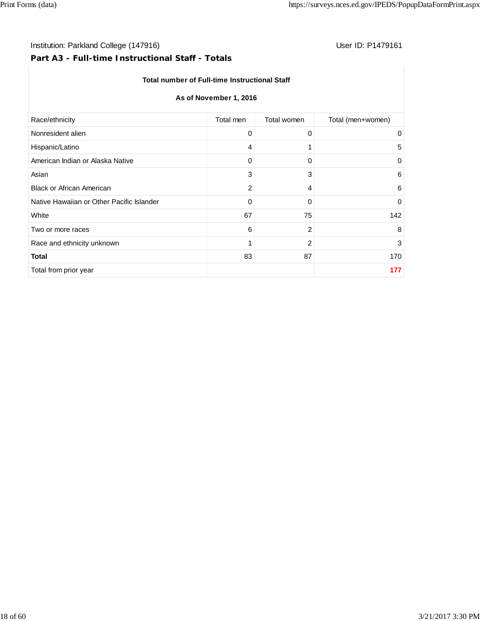## Institution: Parkland College (147916) **User ID: P1479161** User ID: P1479161

# **Part A3 - Full-time Instructional Staff - Totals**

#### **Total number of Full-time Instructional Staff**

## **As of November 1, 2016**

| Race/ethnicity                            | Total men      | Total women    | Total (men+women) |
|-------------------------------------------|----------------|----------------|-------------------|
| Nonresident alien                         | 0              | 0              | 0                 |
| Hispanic/Latino                           | 4              | 1              | 5                 |
| American Indian or Alaska Native          | 0              | 0              | 0                 |
| Asian                                     | 3              | 3              | 6                 |
| <b>Black or African American</b>          | $\overline{c}$ | 4              | 6                 |
| Native Hawaiian or Other Pacific Islander | 0              | 0              | $\mathbf 0$       |
| White                                     | 67             | 75             | 142               |
| Two or more races                         | 6              | $\overline{c}$ | 8                 |
| Race and ethnicity unknown                | 1              | 2              | 3                 |
| <b>Total</b>                              | 83             | 87             | 170               |
| Total from prior year                     |                |                | 177               |
|                                           |                |                |                   |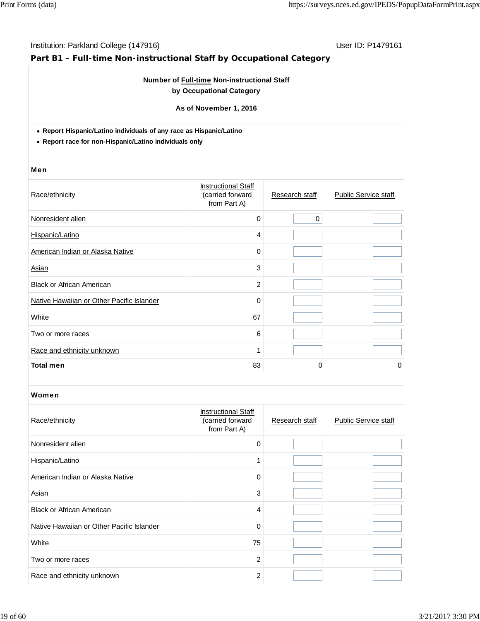# **Part B1 - Full-time Non-instructional Staff by Occupational Category**

## **Number of Full-time Non-instructional Staff by Occupational Category**

**As of November 1, 2016**

**Report Hispanic/Latino individuals of any race as Hispanic/Latino**

**Report race for non-Hispanic/Latino individuals only**

#### Men

| Race/ethnicity                            | <b>Instructional Staff</b><br>(carried forward<br>from Part A) | Research staff | <b>Public Service staff</b> |
|-------------------------------------------|----------------------------------------------------------------|----------------|-----------------------------|
| Nonresident alien                         | $\mathbf 0$                                                    | $\mathbf 0$    |                             |
| Hispanic/Latino                           | 4                                                              |                |                             |
| American Indian or Alaska Native          | 0                                                              |                |                             |
| Asian                                     | 3                                                              |                |                             |
| <b>Black or African American</b>          | $\overline{c}$                                                 |                |                             |
| Native Hawaiian or Other Pacific Islander | 0                                                              |                |                             |
| White                                     | 67                                                             |                |                             |
| Two or more races                         | 6                                                              |                |                             |
| Race and ethnicity unknown                | 1                                                              |                |                             |
| <b>Total men</b>                          | 83                                                             | 0              | 0                           |

| Race/ethnicity                            | <b>Instructional Staff</b><br>(carried forward<br>from Part A) | Research staff | <b>Public Service staff</b> |
|-------------------------------------------|----------------------------------------------------------------|----------------|-----------------------------|
| Nonresident alien                         | $\Omega$                                                       |                |                             |
| Hispanic/Latino                           |                                                                |                |                             |
| American Indian or Alaska Native          | $\Omega$                                                       |                |                             |
| Asian                                     | 3                                                              |                |                             |
| <b>Black or African American</b>          | 4                                                              |                |                             |
| Native Hawaiian or Other Pacific Islander | $\mathbf 0$                                                    |                |                             |
| White                                     | 75                                                             |                |                             |
| Two or more races                         | 2                                                              |                |                             |
| Race and ethnicity unknown                | $\overline{2}$                                                 |                |                             |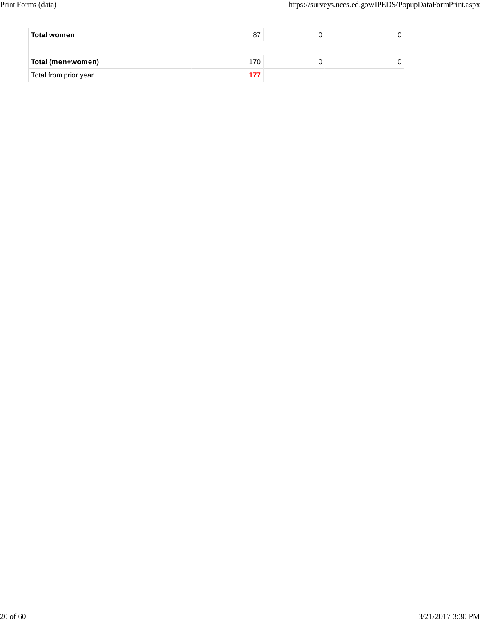| Total women           | 87  |  |
|-----------------------|-----|--|
|                       |     |  |
| Total (men+women)     | 170 |  |
| Total from prior year |     |  |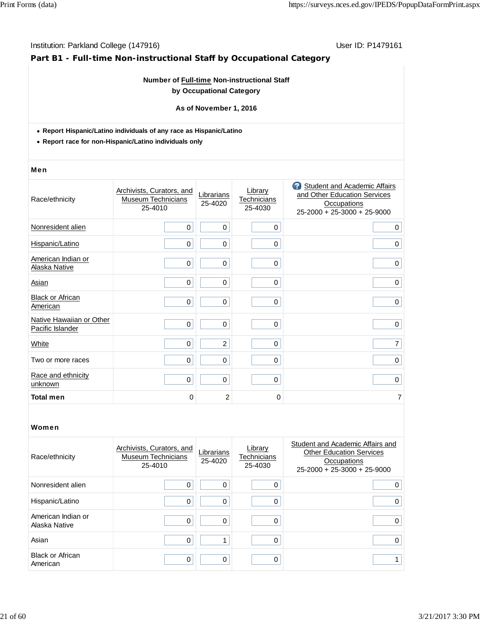## **Part B1 - Full-time Non-instructional Staff by Occupational Category**

## **Number of Full-time Non-instructional Staff by Occupational Category**

#### **As of November 1, 2016**

- **Report Hispanic/Latino individuals of any race as Hispanic/Latino**
- **Report race for non-Hispanic/Latino individuals only**

#### Men

| Race/ethnicity                               | Archivists, Curators, and<br><b>Museum Technicians</b><br>25-4010 | Librarians<br>25-4020 | Library<br>Technicians<br>25-4030 | <b>3</b> Student and Academic Affairs<br>and Other Education Services<br><b>Occupations</b><br>25-2000 + 25-3000 + 25-9000 |
|----------------------------------------------|-------------------------------------------------------------------|-----------------------|-----------------------------------|----------------------------------------------------------------------------------------------------------------------------|
| Nonresident alien                            | 0                                                                 | 0                     | 0                                 | 0                                                                                                                          |
| Hispanic/Latino                              | 0                                                                 | 0                     | $\mathbf 0$                       | $\mathbf 0$                                                                                                                |
| American Indian or<br>Alaska Native          | 0                                                                 | 0                     | $\mathbf 0$                       | 0                                                                                                                          |
| Asian                                        | 0                                                                 | 0                     | $\Omega$                          | $\mathbf 0$                                                                                                                |
| <b>Black or African</b><br>American          | 0                                                                 | 0                     | 0                                 | 0                                                                                                                          |
| Native Hawaiian or Other<br>Pacific Islander | $\mathbf 0$                                                       | 0                     | $\mathbf 0$                       | $\mathbf 0$                                                                                                                |
| White                                        | 0                                                                 | $\overline{2}$        | $\Omega$                          | 7                                                                                                                          |
| Two or more races                            | 0                                                                 | 0                     | 0                                 | $\mathbf 0$                                                                                                                |
| Race and ethnicity<br>unknown                | 0                                                                 | 0                     | $\mathbf 0$                       | $\mathbf 0$                                                                                                                |
| <b>Total men</b>                             | 0                                                                 | $\overline{2}$        | 0                                 | 7                                                                                                                          |

| Race/ethnicity                      | Archivists, Curators, and<br><b>Museum Technicians</b><br>25-4010 | Librarians<br>25-4020 | Library<br>Technicians<br>25-4030 | Student and Academic Affairs and<br><b>Other Education Services</b><br>Occupations<br>$25-2000 + 25-3000 + 25-9000$ |
|-------------------------------------|-------------------------------------------------------------------|-----------------------|-----------------------------------|---------------------------------------------------------------------------------------------------------------------|
| Nonresident alien                   | 0                                                                 |                       |                                   | 0                                                                                                                   |
| Hispanic/Latino                     | 0                                                                 |                       |                                   | 0                                                                                                                   |
| American Indian or<br>Alaska Native | 0                                                                 | O                     |                                   | 0                                                                                                                   |
| Asian                               | 0                                                                 |                       |                                   | 0                                                                                                                   |
| <b>Black or African</b><br>American | 0                                                                 | ∩                     |                                   |                                                                                                                     |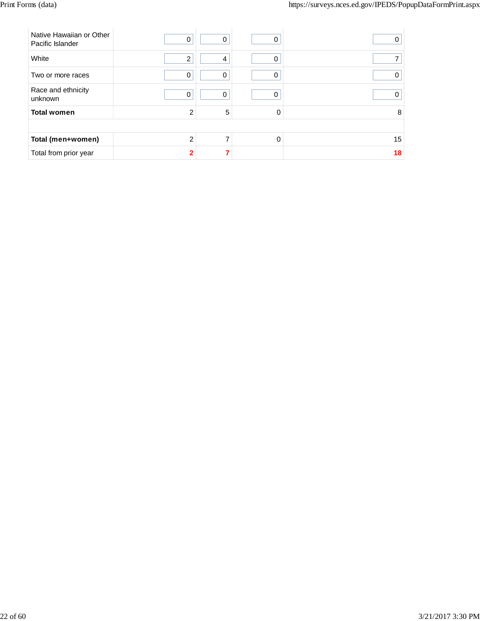| Native Hawaiian or Other<br>Pacific Islander | 0              | 0        | 0        | O  |
|----------------------------------------------|----------------|----------|----------|----|
| White                                        | $\overline{2}$ | 4        | 0        |    |
| Two or more races                            | $\mathbf 0$    | 0        | ი        |    |
| Race and ethnicity<br>unknown                | 0              | $\Omega$ | 0        |    |
| <b>Total women</b>                           | $\overline{2}$ | 5        | 0        | 8  |
|                                              |                |          |          |    |
| Total (men+women)                            | $\mathfrak{p}$ | ⇁        | $\Omega$ | 15 |
| Total from prior year                        | $\overline{2}$ |          |          | 18 |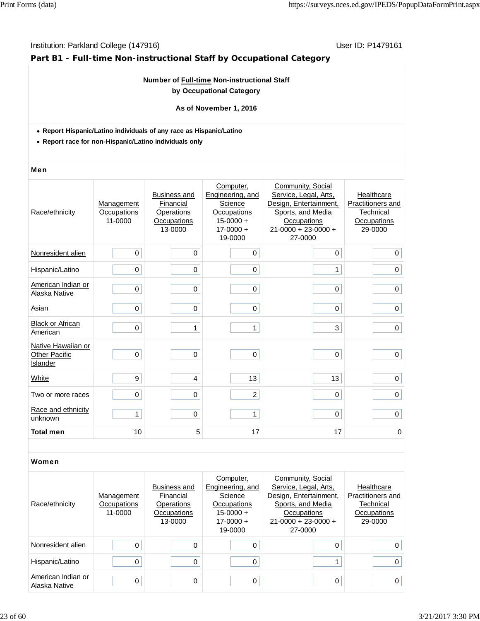## **Part B1 - Full-time Non-instructional Staff by Occupational Category**

## **Number of Full-time Non-instructional Staff by Occupational Category**

## **As of November 1, 2016**

- **Report Hispanic/Latino individuals of any race as Hispanic/Latino**
- **Report race for non-Hispanic/Latino individuals only**

#### Men

| Race/ethnicity                                         | Management<br>Occupations<br>11-0000 | <b>Business and</b><br>Financial<br>Operations<br>Occupations<br>13-0000 | Computer,<br>Engineering, and<br>Science<br>Occupations<br>$15 - 0000 +$<br>$17 - 0000 +$<br>19-0000 | Community, Social<br>Service, Legal, Arts,<br>Design, Entertainment,<br>Sports, and Media<br>Occupations<br>$21 - 0000 + 23 - 0000 +$<br>27-0000 | Healthcare<br>Practitioners and<br>Technical<br>Occupations<br>29-0000 |
|--------------------------------------------------------|--------------------------------------|--------------------------------------------------------------------------|------------------------------------------------------------------------------------------------------|--------------------------------------------------------------------------------------------------------------------------------------------------|------------------------------------------------------------------------|
| Nonresident alien                                      | 0                                    | $\mathbf 0$                                                              | 0                                                                                                    | $\mathbf 0$                                                                                                                                      | $\mathbf 0$                                                            |
| Hispanic/Latino                                        | 0                                    | $\mathbf 0$                                                              | 0                                                                                                    | 1                                                                                                                                                | $\mathbf 0$                                                            |
| American Indian or<br>Alaska Native                    | 0                                    | $\pmb{0}$                                                                | 0                                                                                                    | 0                                                                                                                                                | $\mathbf 0$                                                            |
| Asian                                                  | 0                                    | $\mathbf 0$                                                              | 0                                                                                                    | 0                                                                                                                                                | 0                                                                      |
| <b>Black or African</b><br>American                    | $\mathbf 0$                          | 1                                                                        | 1                                                                                                    | 3                                                                                                                                                | 0                                                                      |
| Native Hawaiian or<br><b>Other Pacific</b><br>Islander | 0                                    | $\mathbf 0$                                                              | 0                                                                                                    | $\mathbf 0$                                                                                                                                      | $\mathbf 0$                                                            |
| White                                                  | 9                                    | $\overline{4}$                                                           | 13                                                                                                   | 13                                                                                                                                               | $\mathsf 0$                                                            |
| Two or more races                                      | 0                                    | $\boldsymbol{0}$                                                         | $\overline{c}$                                                                                       | 0                                                                                                                                                | $\pmb{0}$                                                              |
| Race and ethnicity<br>unknown                          | 1                                    | $\mathbf 0$                                                              | 1                                                                                                    | 0                                                                                                                                                | $\mathbf 0$                                                            |
| <b>Total men</b>                                       | 10                                   | 5                                                                        | 17                                                                                                   | 17                                                                                                                                               | 0                                                                      |

| Race/ethnicity                      | Management<br>Occupations<br>11-0000 | Business and<br>Financial<br>Operations<br>Occupations<br>13-0000 | Computer,<br>Engineering, and<br>Science<br>Occupations<br>$15 - 0000 +$<br>$17 - 0000 +$<br>19-0000 | Community, Social<br>Service, Legal, Arts,<br>Design, Entertainment,<br>Sports, and Media<br><b>Occupations</b><br>$21-0000 + 23-0000 +$<br>27-0000 | Healthcare<br>Practitioners and<br>Technical<br>Occupations<br>29-0000 |
|-------------------------------------|--------------------------------------|-------------------------------------------------------------------|------------------------------------------------------------------------------------------------------|-----------------------------------------------------------------------------------------------------------------------------------------------------|------------------------------------------------------------------------|
| Nonresident alien                   | $\Omega$                             |                                                                   |                                                                                                      | 0                                                                                                                                                   | 0 <sup>1</sup>                                                         |
| Hispanic/Latino                     | 0                                    | 0                                                                 |                                                                                                      |                                                                                                                                                     | 0 <sup>1</sup>                                                         |
| American Indian or<br>Alaska Native | 0                                    | 0                                                                 | $\Omega$                                                                                             | 0                                                                                                                                                   | 0 <sup>1</sup>                                                         |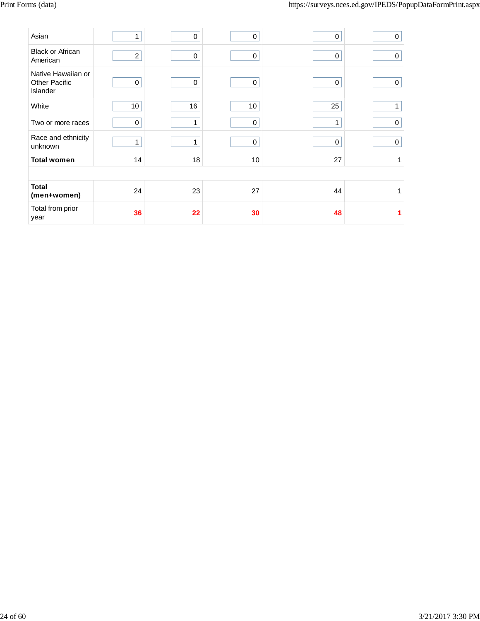| Asian                                                         |                 | 0           | 0               | $\mathbf 0$ | 0           |
|---------------------------------------------------------------|-----------------|-------------|-----------------|-------------|-------------|
| <b>Black or African</b><br>American                           | $\overline{2}$  | $\mathbf 0$ | $\mathbf 0$     | 0           | $\mathbf 0$ |
| Native Hawaiian or<br><b>Other Pacific</b><br><b>Islander</b> | $\mathbf 0$     | $\mathbf 0$ | $\mathbf 0$     | $\mathbf 0$ | 0           |
| White                                                         | 10 <sup>1</sup> | 16          | 10 <sup>1</sup> | 25          | 1           |
| Two or more races                                             | 0               | 1           | 0               | 1           | 0           |
| Race and ethnicity<br>unknown                                 | 1               |             | 0               | 0           | 0           |
| <b>Total women</b>                                            | 14              | 18          | 10              | 27          | 1           |
|                                                               |                 |             |                 |             |             |
| <b>Total</b><br>(men+women)                                   | 24              | 23          | 27              | 44          | 1           |
| Total from prior<br>year                                      | 36              | 22          | 30              | 48          |             |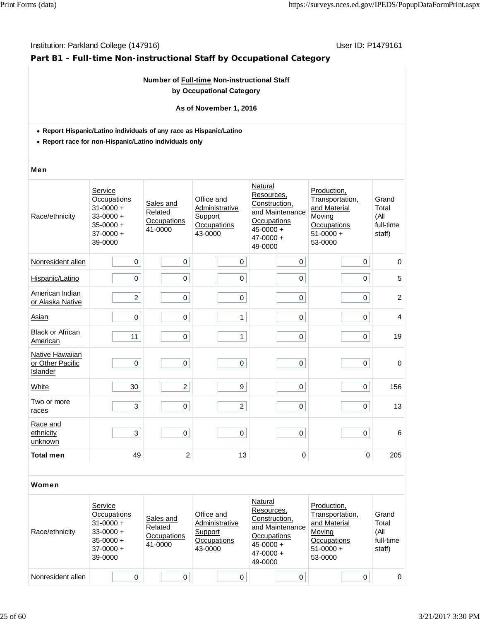## **Part B1 - Full-time Non-instructional Staff by Occupational Category**

## **Number of Full-time Non-instructional Staff by Occupational Category**

#### **As of November 1, 2016**

- **Report Hispanic/Latino individuals of any race as Hispanic/Latino**
- **Report race for non-Hispanic/Latino individuals only**

#### Men

| Race/ethnicity                                         | Service<br>Occupations<br>$31 - 0000 +$<br>$33 - 0000 +$<br>$35 - 0000 +$<br>$37-0000 +$<br>39-0000 | Sales and<br>Related<br>Occupations<br>41-0000 | Office and<br>Administrative<br>Support<br>Occupations<br>43-0000 | Natural<br>Resources,<br>Construction,<br>and Maintenance<br>Occupations<br>$45 - 0000 +$<br>$47 - 0000 +$<br>49-0000 | Production,<br>Transportation,<br>and Material<br>Moving<br>Occupations<br>$51-0000 +$<br>53-0000 | Grand<br>Total<br>(All<br>full-time<br>staff) |
|--------------------------------------------------------|-----------------------------------------------------------------------------------------------------|------------------------------------------------|-------------------------------------------------------------------|-----------------------------------------------------------------------------------------------------------------------|---------------------------------------------------------------------------------------------------|-----------------------------------------------|
| Nonresident alien                                      | 0                                                                                                   | $\mathsf 0$                                    | 0                                                                 | 0                                                                                                                     | 0                                                                                                 | $\pmb{0}$                                     |
| Hispanic/Latino                                        | 0                                                                                                   | 0                                              | $\pmb{0}$                                                         | $\pmb{0}$                                                                                                             | 0                                                                                                 | 5                                             |
| American Indian<br>or Alaska Native                    | $\overline{c}$                                                                                      | $\mathsf 0$                                    | $\pmb{0}$                                                         | $\pmb{0}$                                                                                                             | 0                                                                                                 | $\overline{c}$                                |
| Asian                                                  | $\mathbf 0$                                                                                         | $\mathbf 0$                                    | 1                                                                 | $\mathbf 0$                                                                                                           | 0                                                                                                 | $\overline{4}$                                |
| <b>Black or African</b><br>American                    | 11                                                                                                  | $\pmb{0}$                                      | 1                                                                 | $\pmb{0}$                                                                                                             | 0                                                                                                 | 19                                            |
| Native Hawaiian<br>or Other Pacific<br><b>Islander</b> | $\mathbf 0$                                                                                         | $\mathbf 0$                                    | $\mathbf 0$                                                       | $\boldsymbol{0}$                                                                                                      | 0                                                                                                 | $\pmb{0}$                                     |
| White                                                  | 30                                                                                                  | $\overline{2}$                                 | 9                                                                 | $\pmb{0}$                                                                                                             | 0                                                                                                 | 156                                           |
| Two or more<br>races                                   | 3                                                                                                   | $\pmb{0}$                                      | $\overline{c}$                                                    | $\mathbf 0$                                                                                                           | 0                                                                                                 | 13                                            |
| Race and<br>ethnicity<br>unknown                       | 3                                                                                                   | $\pmb{0}$                                      | $\pmb{0}$                                                         | $\pmb{0}$                                                                                                             | 0                                                                                                 | 6                                             |
| <b>Total men</b>                                       | 49                                                                                                  | $\overline{c}$                                 | 13                                                                | $\pmb{0}$                                                                                                             | $\mathbf 0$                                                                                       | 205                                           |

| Race/ethnicity    | Service<br>Occupations<br>$31 - 0000 +$<br>$33-0000 +$<br>$35-0000 +$<br>$37-0000 +$<br>39-0000 | Sales and<br>Related<br>Occupations<br>41-0000 | Office and<br>Administrative<br>Support<br>Occupations<br>43-0000 | Natural<br>Resources,<br>Construction,<br>and Maintenance<br>Occupations<br>$45 - 0000 +$<br>$47 - 0000 +$<br>49-0000 | Production,<br>Transportation,<br>and Material<br>Moving<br>Occupations<br>$51-0000 +$<br>53-0000 | Grand<br>Total<br>(All<br>full-time<br>staff) |
|-------------------|-------------------------------------------------------------------------------------------------|------------------------------------------------|-------------------------------------------------------------------|-----------------------------------------------------------------------------------------------------------------------|---------------------------------------------------------------------------------------------------|-----------------------------------------------|
| Nonresident alien |                                                                                                 |                                                |                                                                   |                                                                                                                       |                                                                                                   | $\Omega$                                      |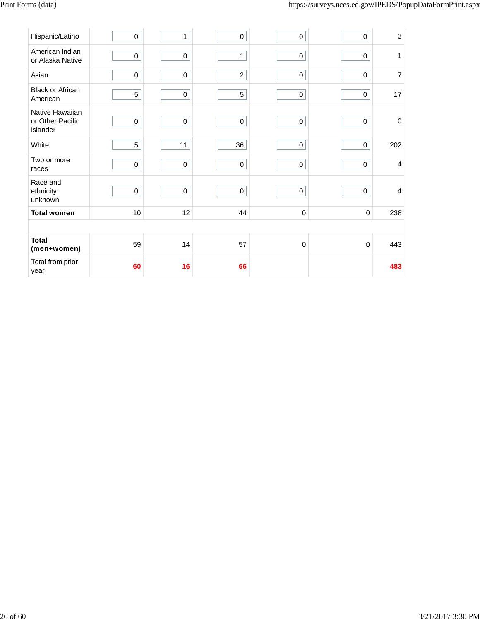| Hispanic/Latino                                 | 0           | 1           | $\pmb{0}$      | $\pmb{0}$   | $\pmb{0}$           | 3              |
|-------------------------------------------------|-------------|-------------|----------------|-------------|---------------------|----------------|
| American Indian<br>or Alaska Native             | $\pmb{0}$   | $\pmb{0}$   | $\mathbf{1}$   | $\pmb{0}$   | $\pmb{0}$           | 1              |
| Asian                                           | $\mathsf 0$ | $\pmb{0}$   | $\overline{c}$ | $\mathsf 0$ | $\mathsf 0$         | 7              |
| <b>Black or African</b><br>American             | 5           | $\mathbf 0$ | $\sqrt{5}$     | $\pmb{0}$   | $\mathsf 0$         | 17             |
| Native Hawaiian<br>or Other Pacific<br>Islander | $\pmb{0}$   | $\mathsf 0$ | $\mathbf 0$    | $\mathbf 0$ | $\mathsf{O}\xspace$ | $\mathbf 0$    |
| White                                           | 5           | 11          | 36             | $\mathbf 0$ | $\pmb{0}$           | 202            |
| Two or more<br>races                            | $\mathbf 0$ | $\pmb{0}$   | $\mathbf 0$    | $\mathbf 0$ | $\pmb{0}$           | $\overline{4}$ |
| Race and<br>ethnicity<br>unknown                | $\pmb{0}$   | $\pmb{0}$   | $\mathbf 0$    | $\mathbf 0$ | $\mathsf{O}\xspace$ | $\overline{4}$ |
| <b>Total women</b>                              | $10$        | 12          | 44             | $\pmb{0}$   | $\mathbf 0$         | 238            |
|                                                 |             |             |                |             |                     |                |
| <b>Total</b><br>(men+women)                     | 59          | 14          | 57             | $\mathbf 0$ | 0                   | 443            |
| Total from prior<br>year                        | 60          | 16          | 66             |             |                     | 483            |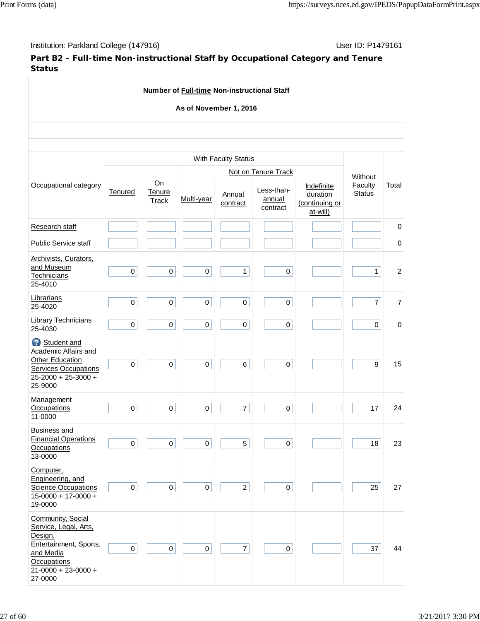Institution: Parkland College (147916) November 2012 12: P1479161

**Part B2 - Full-time Non-instructional Staff by Occupational Category and Tenure Status**

**Number of Full-time Non-instructional Staff As of November 1, 2016** Occupational category With **Faculty Status Without** Faculty **Status** Total **Tenured** On **Tenure Track Not on Tenure Track** Multi-year Annual contract Less-thanannual contract Indefinite **duration** (continuing or at-will) Research staff **below** if it is a controller in the controller in the controller in the controller in the controller in the controller in the controller in the controller in the controller in the controller in the controll Public Service staff 0 Archivists, Curators, and Museum **Technicians** 25-4010 0 0 0 1 0 1 2 **Librarians** 25-4020 <sup>0</sup> <sup>0</sup> <sup>0</sup> <sup>0</sup> <sup>0</sup> 7 7 Library Technicians 25-4030 <sup>0</sup> <sup>0</sup> <sup>0</sup> <sup>0</sup> <sup>0</sup> 0 0 Student and Academic Affairs and Other Education Services Occupations 25-2000 + 25-3000 + 25-9000 0 0 0 6 0 9 15 **Management Occupations** 11-0000  $0 || 0 || 0 || 0 || 7 || 0 || 17 || 24$ Business and Financial Operations **Occupations** 13-0000  $0 \begin{vmatrix} 0 & 0 & 0 \end{vmatrix}$   $0 \begin{vmatrix} 1 & 5 & 0 \end{vmatrix}$   $0 \begin{vmatrix} 1 & 1 \end{vmatrix}$  18 23 Computer, Engineering, and **Science Occupations** 15-0000 + 17-0000 + 19-0000 0 0 0 2 0 25 27 Community, Social Service, Legal, Arts, Design, Entertainment, Sports, and Media **Occupations** 21-0000 + 23-0000 + 27-0000 0 0 0 7 0 37 44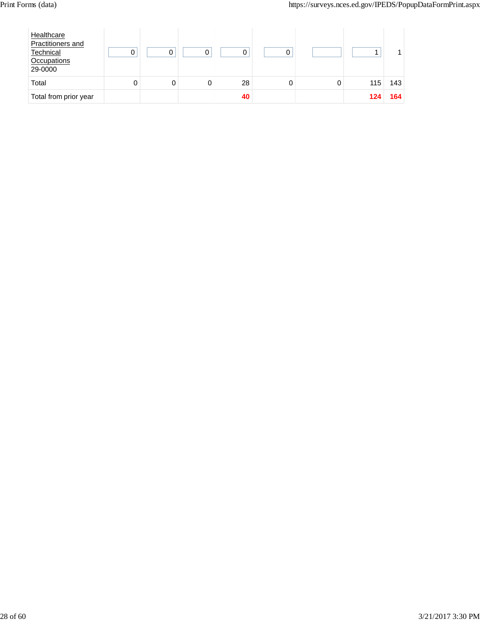| Healthcare<br>Practitioners and<br>Technical<br>Occupations<br>29-0000 |   | ი |    |  |     |     |
|------------------------------------------------------------------------|---|---|----|--|-----|-----|
| Total                                                                  | 0 |   | 28 |  | 115 | 143 |
| Total from prior year                                                  |   |   | 40 |  | 124 | 164 |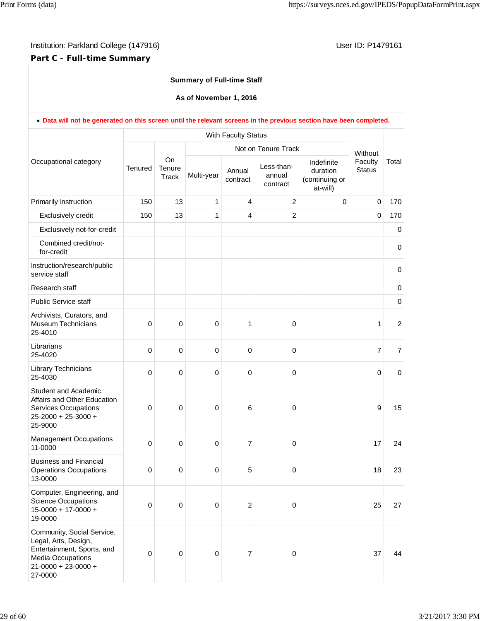## **Part C - Full-time Summary**

## **Summary of Full-time Staff**

**As of November 1, 2016**

|                       | . Data will not be generated on this screen until the relevant screens in the previous section have been completed.                           |                     |                              |                     |                    |                                  |                                                      |                          |                  |
|-----------------------|-----------------------------------------------------------------------------------------------------------------------------------------------|---------------------|------------------------------|---------------------|--------------------|----------------------------------|------------------------------------------------------|--------------------------|------------------|
|                       |                                                                                                                                               | With Faculty Status |                              |                     |                    |                                  |                                                      |                          |                  |
| Occupational category |                                                                                                                                               |                     |                              | Not on Tenure Track |                    |                                  |                                                      | Without                  |                  |
|                       |                                                                                                                                               | <b>Tenured</b>      | <b>On</b><br>Tenure<br>Track | Multi-year          | Annual<br>contract | Less-than-<br>annual<br>contract | Indefinite<br>duration<br>(continuing or<br>at-will) | Faculty<br><b>Status</b> | Total            |
|                       | Primarily Instruction                                                                                                                         | 150                 | 13                           | $\mathbf{1}$        | 4                  | $\overline{2}$                   | $\mathbf 0$                                          | $\mathbf 0$              | 170              |
|                       | Exclusively credit                                                                                                                            | 150                 | 13                           | $\mathbf{1}$        | $\overline{4}$     | $\overline{c}$                   |                                                      | $\mathbf 0$              | 170              |
|                       | Exclusively not-for-credit                                                                                                                    |                     |                              |                     |                    |                                  |                                                      |                          | 0                |
|                       | Combined credit/not-<br>for-credit                                                                                                            |                     |                              |                     |                    |                                  |                                                      |                          | $\pmb{0}$        |
|                       | Instruction/research/public<br>service staff                                                                                                  |                     |                              |                     |                    |                                  |                                                      |                          | $\mathbf 0$      |
|                       | Research staff                                                                                                                                |                     |                              |                     |                    |                                  |                                                      |                          | $\pmb{0}$        |
|                       | <b>Public Service staff</b>                                                                                                                   |                     |                              |                     |                    |                                  |                                                      |                          | $\pmb{0}$        |
|                       | Archivists, Curators, and<br><b>Museum Technicians</b><br>25-4010                                                                             | $\mathbf 0$         | 0                            | $\mathbf 0$         | 1                  | 0                                |                                                      | 1                        | $\boldsymbol{2}$ |
|                       | Librarians<br>25-4020                                                                                                                         | 0                   | 0                            | $\mathbf 0$         | $\mathbf 0$        | 0                                |                                                      | 7                        | 7                |
|                       | Library Technicians<br>25-4030                                                                                                                | $\mathbf 0$         | 0                            | $\mathbf 0$         | $\mathbf 0$        | 0                                |                                                      | $\mathbf 0$              | $\mathbf 0$      |
|                       | <b>Student and Academic</b><br>Affairs and Other Education<br><b>Services Occupations</b><br>25-2000 + 25-3000 +<br>25-9000                   | 0                   | $\mathbf 0$                  | $\mathbf 0$         | 6                  | 0                                |                                                      | 9                        | 15               |
|                       | <b>Management Occupations</b><br>11-0000                                                                                                      | $\mathbf 0$         | $\pmb{0}$                    | $\mathbf 0$         | $\overline{7}$     | 0                                |                                                      | 17                       | 24               |
|                       | <b>Business and Financial</b><br><b>Operations Occupations</b><br>13-0000                                                                     | 0                   | $\mathbf 0$                  | $\pmb{0}$           | 5                  | 0                                |                                                      | 18                       | 23               |
|                       | Computer, Engineering, and<br><b>Science Occupations</b><br>$15 - 0000 + 17 - 0000 +$<br>19-0000                                              | $\mathbf 0$         | $\pmb{0}$                    | $\pmb{0}$           | $\sqrt{2}$         | 0                                |                                                      | 25                       | 27               |
|                       | Community, Social Service,<br>Legal, Arts, Design,<br>Entertainment, Sports, and<br>Media Occupations<br>$21 - 0000 + 23 - 0000 +$<br>27-0000 | 0                   | $\pmb{0}$                    | $\pmb{0}$           | $\overline{7}$     | 0                                |                                                      | 37                       | 44               |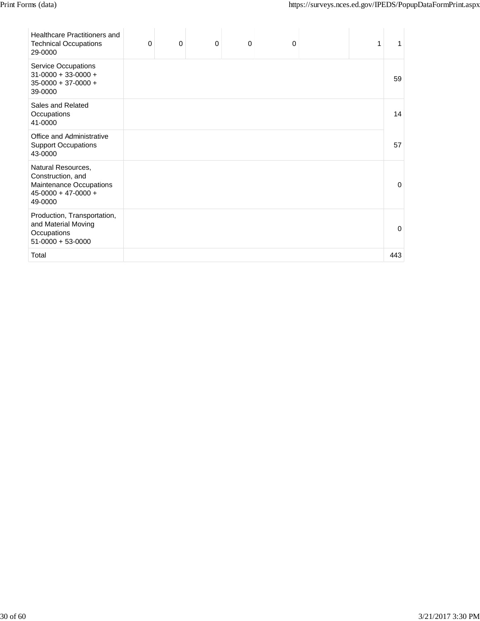| <b>Healthcare Practitioners and</b><br><b>Technical Occupations</b><br>29-0000                         | $\Omega$ | $\Omega$ | $\Omega$ | $\mathbf 0$ | $\Omega$ | 1 |          |
|--------------------------------------------------------------------------------------------------------|----------|----------|----------|-------------|----------|---|----------|
| <b>Service Occupations</b><br>$31-0000 + 33-0000 +$<br>$35-0000 + 37-0000 +$<br>39-0000                |          |          |          |             |          |   | 59       |
| Sales and Related<br>Occupations<br>41-0000                                                            |          |          |          |             |          |   | 14       |
| Office and Administrative<br><b>Support Occupations</b><br>43-0000                                     |          |          |          |             |          |   | 57       |
| Natural Resources,<br>Construction, and<br>Maintenance Occupations<br>$45-0000 + 47-0000 +$<br>49-0000 |          |          |          |             |          |   | $\Omega$ |
| Production, Transportation,<br>and Material Moving<br>Occupations<br>$51-0000 + 53-0000$               |          |          |          |             |          |   | 0        |
| Total                                                                                                  |          |          |          |             |          |   | 443      |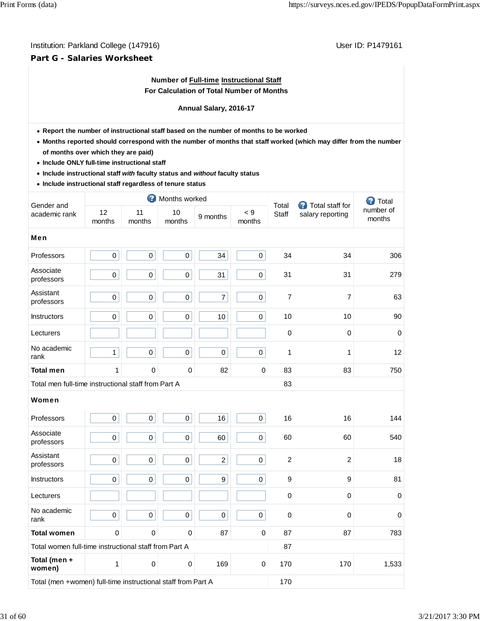## **Part G - Salaries Worksheet**

## **Number of Full-time Instructional Staff For Calculation of Total Number of Months**

### **Annual Salary, 2016-17**

- **Report the number of instructional staff based on the number of months to be worked**
- **Months reported should correspond with the number of months that staff worked (which may differ from the number of months over which they are paid)**
- **Include ONLY full-time instructional staff**
- **Include instructional staff** *with* **faculty status and** *without* **faculty status**
- **Include instructional staff regardless of tenure status**

|                                                              |              |                     | Months worked |                  | <b>Total staff for</b> | <b>O</b> Total |                  |                     |
|--------------------------------------------------------------|--------------|---------------------|---------------|------------------|------------------------|----------------|------------------|---------------------|
| Gender and<br>academic rank                                  | 12<br>months | 11<br>months        | 10<br>months  | 9 months         | < 9<br>months          | Total<br>Staff | salary reporting | number of<br>months |
| <b>Men</b>                                                   |              |                     |               |                  |                        |                |                  |                     |
| Professors                                                   | $\pmb{0}$    | $\pmb{0}$           | $\pmb{0}$     | 34               | $\mathbf 0$            | 34             | 34               | 306                 |
| Associate<br>professors                                      | $\mathsf 0$  | $\mathsf{O}\xspace$ | $\pmb{0}$     | 31               | 0                      | 31             | 31               | 279                 |
| Assistant<br>professors                                      | $\mathsf{O}$ | $\mathbf 0$         | $\mathbf 0$   | $\overline{7}$   | 0                      | $\overline{7}$ | $\overline{7}$   | 63                  |
| Instructors                                                  | $\pmb{0}$    | $\mathsf{O}\xspace$ | $\pmb{0}$     | 10               | 0                      | 10             | 10               | 90                  |
| Lecturers                                                    |              |                     |               |                  |                        | 0              | $\Omega$         | $\mathbf 0$         |
| No academic<br>rank                                          | $\mathbf{1}$ | $\mathbf 0$         | 0             | $\mathbf 0$      | 0                      | $\mathbf{1}$   | 1                | 12                  |
| <b>Total men</b>                                             | 1            | $\mathbf 0$         | 0             | 82               | 0                      | 83             | 83               | 750                 |
| Total men full-time instructional staff from Part A          |              |                     |               |                  |                        | 83             |                  |                     |
| Women                                                        |              |                     |               |                  |                        |                |                  |                     |
| Professors                                                   | $\pmb{0}$    | $\mathsf 0$         | $\pmb{0}$     | 16               | 0                      | 16             | 16               | 144                 |
| Associate<br>professors                                      | $\mathbf 0$  | $\mathbf 0$         | 0             | 60               | 0                      | 60             | 60               | 540                 |
| Assistant<br>professors                                      | $\mathbf 0$  | $\pmb{0}$           | $\mathbf 0$   | $\overline{a}$   | 0                      | $\overline{2}$ | $\overline{2}$   | 18                  |
| <b>Instructors</b>                                           | $\pmb{0}$    | $\mathbf 0$         | $\pmb{0}$     | $\boldsymbol{9}$ | 0                      | 9              | 9                | 81                  |
| Lecturers                                                    |              |                     |               |                  |                        | $\mathbf 0$    | $\Omega$         | $\mathbf 0$         |
| No academic<br>rank                                          | $\mathbf 0$  | $\mathbf 0$         | 0             | $\mathbf 0$      | 0                      | $\Omega$       | $\Omega$         | $\Omega$            |
| <b>Total women</b>                                           | $\Omega$     | $\Omega$            | $\Omega$      | 87               | 0                      | 87             | 87               | 783                 |
| Total women full-time instructional staff from Part A        |              |                     |               |                  |                        | 87             |                  |                     |
| Total (men +<br>women)                                       | 1            | 0                   | 0             | 169              | 0                      | 170            | 170              | 1,533               |
| Total (men +women) full-time instructional staff from Part A |              |                     |               |                  |                        |                |                  |                     |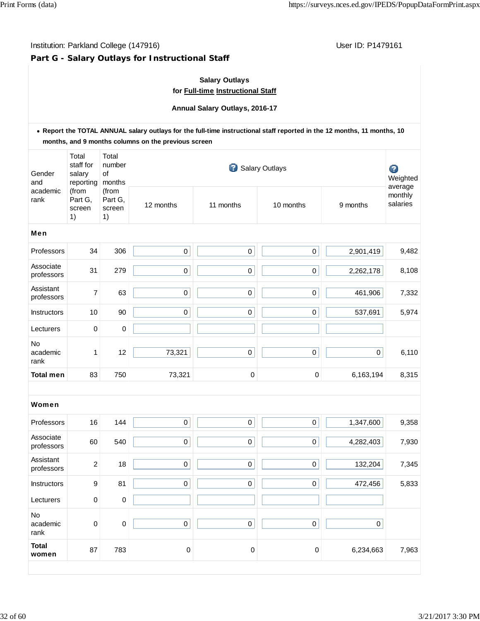# **Part G - Salary Outlays for Instructional Staff**

## **Salary Outlays for Full-time Instructional Staff**

**Annual Salary Outlays, 2016-17**

|                                         |                                           |                                  | . Report the TOTAL ANNUAL salary outlays for the full-time instructional staff reported in the 12 months, 11 months, 10<br>months, and 9 months columns on the previous screen |             |             |                  |                                |  |  |
|-----------------------------------------|-------------------------------------------|----------------------------------|--------------------------------------------------------------------------------------------------------------------------------------------------------------------------------|-------------|-------------|------------------|--------------------------------|--|--|
| Gender<br>and<br>academic<br>rank<br>1) | Total<br>staff for<br>salary<br>reporting | Total<br>number<br>of<br>months  | $\mathbf{P}$<br><b>Salary Outlays</b>                                                                                                                                          |             |             |                  |                                |  |  |
|                                         | (from<br>Part G,<br>screen                | (from<br>Part G,<br>screen<br>1) | 12 months                                                                                                                                                                      | 11 months   | 10 months   | 9 months         | average<br>monthly<br>salaries |  |  |
| Men                                     |                                           |                                  |                                                                                                                                                                                |             |             |                  |                                |  |  |
| Professors                              | 34                                        | 306                              | $\pmb{0}$                                                                                                                                                                      | $\pmb{0}$   | $\pmb{0}$   | 2,901,419        | 9,482                          |  |  |
| Associate<br>professors                 | 31                                        | 279                              | 0                                                                                                                                                                              | $\pmb{0}$   | $\pmb{0}$   | 2,262,178        | 8,108                          |  |  |
| Assistant<br>professors                 | 7                                         | 63                               | $\pmb{0}$                                                                                                                                                                      | $\pmb{0}$   | $\pmb{0}$   | 461,906          | 7,332                          |  |  |
| Instructors                             | 10                                        | 90                               | 0                                                                                                                                                                              | $\pmb{0}$   | $\pmb{0}$   | 537,691          | 5,974                          |  |  |
| Lecturers                               | 0                                         | 0                                |                                                                                                                                                                                |             |             |                  |                                |  |  |
| <b>No</b><br>academic<br>rank           | 1                                         | 12                               | 73,321                                                                                                                                                                         | $\mathbf 0$ | $\pmb{0}$   | $\boldsymbol{0}$ | 6,110                          |  |  |
| <b>Total men</b>                        | 83                                        | 750                              | 73,321                                                                                                                                                                         | $\pmb{0}$   | $\mathbf 0$ | 6,163,194        | 8,315                          |  |  |
| Women                                   |                                           |                                  |                                                                                                                                                                                |             |             |                  |                                |  |  |
| Professors                              | 16                                        | 144                              | $\mathbf 0$                                                                                                                                                                    | $\mathbf 0$ | $\mathbf 0$ | 1,347,600        | 9,358                          |  |  |
| Associate<br>professors                 | 60                                        | 540                              | $\pmb{0}$                                                                                                                                                                      | $\pmb{0}$   | $\pmb{0}$   | 4,282,403        | 7,930                          |  |  |
| Assistant<br>professors                 | $\overline{c}$                            | 18                               | 0                                                                                                                                                                              | $\mathbf 0$ | $\pmb{0}$   | 132,204          | 7,345                          |  |  |
| Instructors                             | $\boldsymbol{9}$                          | 81                               | $\mathsf 0$                                                                                                                                                                    | $\mathbf 0$ | $\mathbf 0$ | 472,456          | 5,833                          |  |  |
| Lecturers                               | $\,0\,$                                   | $\boldsymbol{0}$                 |                                                                                                                                                                                |             |             |                  |                                |  |  |
| No<br>academic<br>rank                  | 0                                         | $\pmb{0}$                        | $\mathsf 0$                                                                                                                                                                    | $\mathbf 0$ | $\mathbf 0$ | $\mathsf 0$      |                                |  |  |
| <b>Total</b><br>women                   | 87                                        | 783                              | $\pmb{0}$                                                                                                                                                                      | $\pmb{0}$   | $\pmb{0}$   | 6,234,663        | 7,963                          |  |  |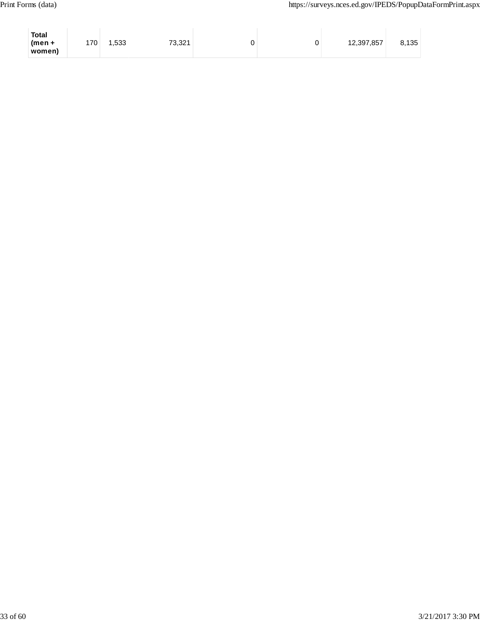| <b>Total</b><br>$(men +$ | 170 | 1,533 | 73,321 | ັ | 12,397,857 | 8,135 |
|--------------------------|-----|-------|--------|---|------------|-------|
| women)                   |     |       |        |   |            |       |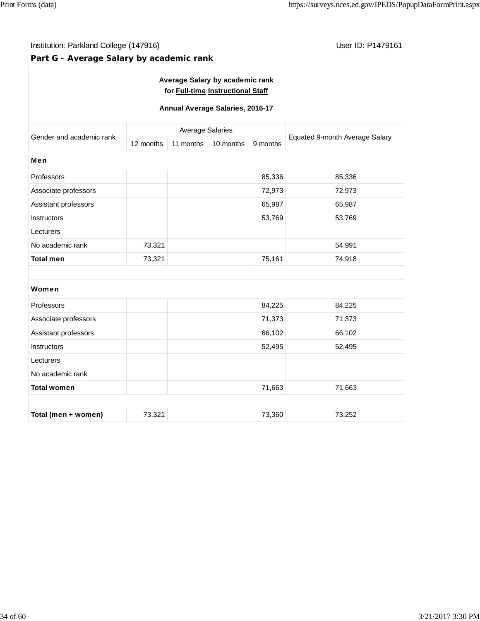## **Part G - Average Salary by academic rank**

| Average Salary by academic rank   |
|-----------------------------------|
| for Full-time Instructional Staff |

## **Annual Average Salaries, 2016-17**

|                          |           | <b>Average Salaries</b> |           | Equated 9-month Average Salary |        |
|--------------------------|-----------|-------------------------|-----------|--------------------------------|--------|
| Gender and academic rank | 12 months | 11 months               | 10 months | 9 months                       |        |
| Men                      |           |                         |           |                                |        |
| Professors               |           |                         |           | 85,336                         | 85,336 |
| Associate professors     |           |                         |           | 72,973                         | 72,973 |
| Assistant professors     |           |                         |           | 65,987                         | 65,987 |
| <b>Instructors</b>       |           |                         |           | 53,769                         | 53,769 |
| Lecturers                |           |                         |           |                                |        |
| No academic rank         | 73,321    |                         |           |                                | 54,991 |
| <b>Total men</b>         | 73,321    |                         |           | 75,161                         | 74,918 |
|                          |           |                         |           |                                |        |
| Women                    |           |                         |           |                                |        |
| Professors               |           |                         |           | 84,225                         | 84,225 |
| Associate professors     |           |                         |           | 71,373                         | 71,373 |
| Assistant professors     |           |                         |           | 66,102                         | 66,102 |
| <b>Instructors</b>       |           |                         |           | 52,495                         | 52,495 |
| Lecturers                |           |                         |           |                                |        |
| No academic rank         |           |                         |           |                                |        |
| <b>Total women</b>       |           |                         |           | 71,663                         | 71,663 |
|                          |           |                         |           |                                |        |
| Total (men + women)      | 73,321    |                         |           | 73,360                         | 73,252 |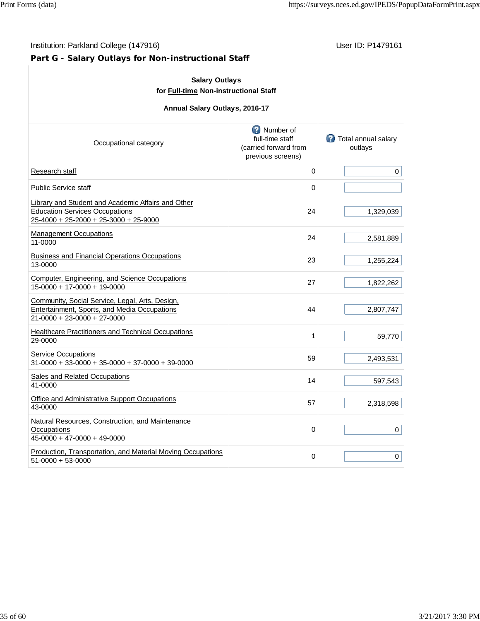# **Part G - Salary Outlays for Non-instructional Staff**

| <b>Salary Outlays</b><br>for Full-time Non-instructional Staff<br>Annual Salary Outlays, 2016-17                                     |    |           |  |  |  |  |
|--------------------------------------------------------------------------------------------------------------------------------------|----|-----------|--|--|--|--|
|                                                                                                                                      |    |           |  |  |  |  |
| Research staff                                                                                                                       | 0  | 0         |  |  |  |  |
| <b>Public Service staff</b>                                                                                                          | 0  |           |  |  |  |  |
| Library and Student and Academic Affairs and Other<br><b>Education Services Occupations</b><br>25-4000 + 25-2000 + 25-3000 + 25-9000 | 24 | 1,329,039 |  |  |  |  |
| <b>Management Occupations</b><br>11-0000                                                                                             | 24 | 2,581,889 |  |  |  |  |
| <b>Business and Financial Operations Occupations</b><br>13-0000                                                                      | 23 | 1,255,224 |  |  |  |  |
| Computer, Engineering, and Science Occupations<br>15-0000 + 17-0000 + 19-0000                                                        | 27 | 1,822,262 |  |  |  |  |
| Community, Social Service, Legal, Arts, Design,<br>Entertainment, Sports, and Media Occupations<br>21-0000 + 23-0000 + 27-0000       | 44 | 2,807,747 |  |  |  |  |
| <b>Healthcare Practitioners and Technical Occupations</b><br>29-0000                                                                 | 1  | 59,770    |  |  |  |  |
| <b>Service Occupations</b><br>$31-0000 + 33-0000 + 35-0000 + 37-0000 + 39-0000$                                                      | 59 | 2,493,531 |  |  |  |  |
| Sales and Related Occupations<br>41-0000                                                                                             | 14 | 597,543   |  |  |  |  |
| Office and Administrative Support Occupations<br>43-0000                                                                             | 57 | 2,318,598 |  |  |  |  |
| Natural Resources, Construction, and Maintenance<br>Occupations<br>45-0000 + 47-0000 + 49-0000                                       | 0  | 0         |  |  |  |  |
| Production, Transportation, and Material Moving Occupations<br>51-0000 + 53-0000                                                     | 0  | 0         |  |  |  |  |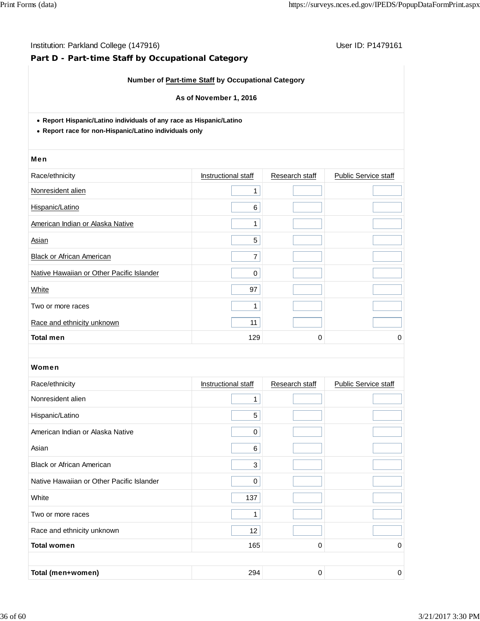# **Part D - Part-time Staff by Occupational Category**

## **Number of Part-time Staff by Occupational Category**

#### **As of November 1, 2016**

**Report Hispanic/Latino individuals of any race as Hispanic/Latino**

**Report race for non-Hispanic/Latino individuals only**

#### Men

| Race/ethnicity                            | Instructional staff | Research staff | <b>Public Service staff</b> |
|-------------------------------------------|---------------------|----------------|-----------------------------|
| Nonresident alien                         |                     |                |                             |
| Hispanic/Latino                           | 6                   |                |                             |
| American Indian or Alaska Native          | ◢                   |                |                             |
| Asian                                     | 5                   |                |                             |
| <b>Black or African American</b>          | 7                   |                |                             |
| Native Hawaiian or Other Pacific Islander | $\Omega$            |                |                             |
| White                                     | 97                  |                |                             |
| Two or more races                         |                     |                |                             |
| Race and ethnicity unknown                | 11                  |                |                             |
| <b>Total men</b>                          | 129                 | 0              | 0                           |

| Race/ethnicity                            | Instructional staff | Research staff | <b>Public Service staff</b> |
|-------------------------------------------|---------------------|----------------|-----------------------------|
| Nonresident alien                         | 1                   |                |                             |
| Hispanic/Latino                           | 5                   |                |                             |
| American Indian or Alaska Native          | 0                   |                |                             |
| Asian                                     | 6                   |                |                             |
| <b>Black or African American</b>          | 3                   |                |                             |
| Native Hawaiian or Other Pacific Islander | $\Omega$            |                |                             |
| White                                     | 137                 |                |                             |
| Two or more races                         | 4                   |                |                             |
| Race and ethnicity unknown                | 12                  |                |                             |
| <b>Total women</b>                        | 165                 | 0              | 0                           |
|                                           |                     |                |                             |
| Total (men+women)                         | 294                 | 0              | 0                           |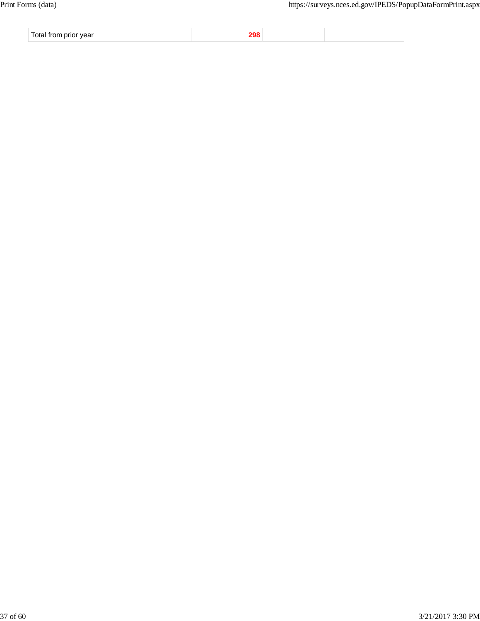Total from prior year **298**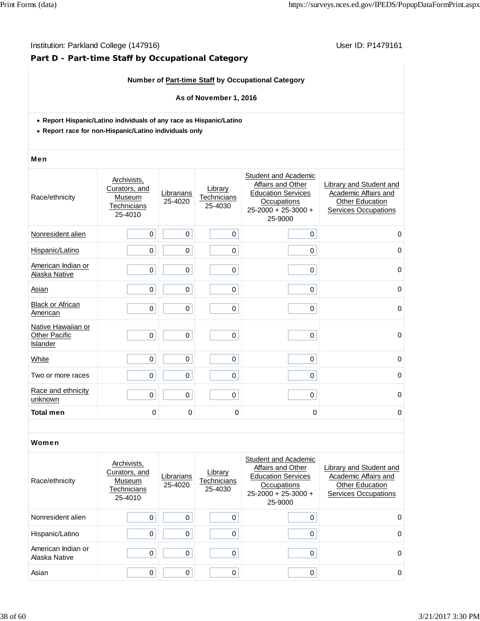# **Part D - Part-time Staff by Occupational Category**

## **Number of Part-time Staff by Occupational Category**

#### **As of November 1, 2016**

- **Report Hispanic/Latino individuals of any race as Hispanic/Latino**
- **Report race for non-Hispanic/Latino individuals only**

#### Men

| Race/ethnicity                                         | Archivists,<br>Curators, and<br>Museum<br>Technicians<br>25-4010 | Librarians<br>25-4020 | Library<br>Technicians<br>25-4030 | Student and Academic<br>Affairs and Other<br><b>Education Services</b><br>Occupations<br>$25 - 2000 + 25 - 3000 +$<br>25-9000 | Library and Student and<br>Academic Affairs and<br>Other Education<br><b>Services Occupations</b> |
|--------------------------------------------------------|------------------------------------------------------------------|-----------------------|-----------------------------------|-------------------------------------------------------------------------------------------------------------------------------|---------------------------------------------------------------------------------------------------|
| Nonresident alien                                      | $\pmb{0}$                                                        | $\mathbf 0$           | 0                                 | $\mathbf 0$                                                                                                                   | $\mathbf 0$                                                                                       |
| Hispanic/Latino                                        | 0                                                                | 0                     | 0                                 | 0                                                                                                                             | $\Omega$                                                                                          |
| American Indian or<br>Alaska Native                    | $\mathbf 0$                                                      | 0                     | $\mathbf 0$                       | 0                                                                                                                             | $\mathbf 0$                                                                                       |
| Asian                                                  | $\mathbf 0$                                                      | 0                     | $\mathbf 0$                       | 0                                                                                                                             | 0                                                                                                 |
| <b>Black or African</b><br>American                    | $\mathbf 0$                                                      | 0                     | 0                                 | $\mathbf 0$                                                                                                                   | $\mathbf 0$                                                                                       |
| Native Hawaiian or<br><b>Other Pacific</b><br>Islander | $\mathbf 0$                                                      | 0                     | 0                                 | 0                                                                                                                             | $\mathbf 0$                                                                                       |
| White                                                  | $\mathbf 0$                                                      | 0                     | 0                                 | $\mathbf 0$                                                                                                                   | $\mathbf 0$                                                                                       |
| Two or more races                                      | $\mathbf 0$                                                      | 0                     | 0                                 | 0                                                                                                                             | $\mathbf 0$                                                                                       |
| Race and ethnicity<br>unknown                          | $\mathbf 0$                                                      | 0                     | 0                                 | $\mathbf 0$                                                                                                                   | $\mathbf 0$                                                                                       |
| <b>Total men</b>                                       | 0                                                                | 0                     | 0                                 | 0                                                                                                                             | 0                                                                                                 |

| Race/ethnicity                      | Archivists.<br>Curators, and<br>Museum<br>Technicians<br>25-4010 | Librarians<br>25-4020 | Library<br>Technicians<br>25-4030 | Student and Academic<br>Affairs and Other<br><b>Education Services</b><br>Occupations<br>$25-2000 + 25-3000 +$<br>25-9000 | Library and Student and<br>Academic Affairs and<br><b>Other Education</b><br><b>Services Occupations</b> |
|-------------------------------------|------------------------------------------------------------------|-----------------------|-----------------------------------|---------------------------------------------------------------------------------------------------------------------------|----------------------------------------------------------------------------------------------------------|
| Nonresident alien                   | 0                                                                | $\Omega$              | O                                 | 0                                                                                                                         | $\Omega$                                                                                                 |
| Hispanic/Latino                     | 0                                                                | 0                     | 0                                 | 0                                                                                                                         | 0                                                                                                        |
| American Indian or<br>Alaska Native | 0                                                                | 0                     | $\Omega$                          | 0                                                                                                                         | 0                                                                                                        |
| Asian                               | 0                                                                | 0                     |                                   | 0                                                                                                                         | 0                                                                                                        |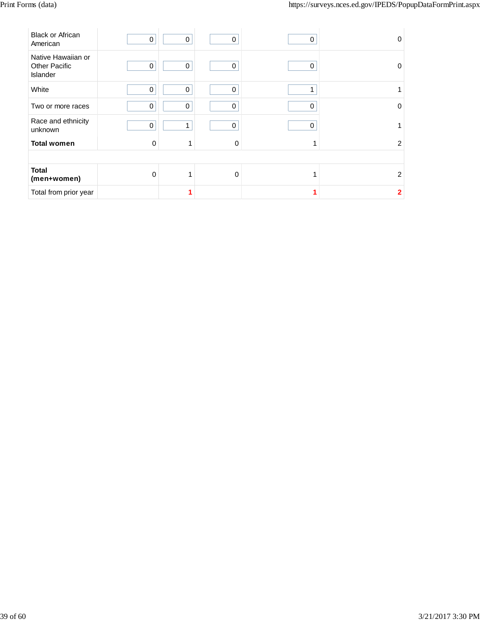| <b>Black or African</b><br>American                           | $\pmb{0}$   | 0           | $\mathbf 0$ | 0 | 0              |
|---------------------------------------------------------------|-------------|-------------|-------------|---|----------------|
| Native Hawaiian or<br><b>Other Pacific</b><br><b>Islander</b> | 0           | 0           | 0           | 0 | 0              |
| White                                                         | $\mathbf 0$ | $\mathbf 0$ | $\mathbf 0$ | 1 |                |
| Two or more races                                             | $\mathbf 0$ | $\Omega$    | $\Omega$    | 0 | $\Omega$       |
| Race and ethnicity<br>unknown                                 | $\mathbf 0$ | 1           | $\Omega$    | 0 |                |
| <b>Total women</b>                                            | $\Omega$    | 1           | $\Omega$    | 1 | 2              |
|                                                               |             |             |             |   |                |
| <b>Total</b><br>(men+women)                                   | $\Omega$    | 4           | $\Omega$    | 1 | $\overline{2}$ |
| Total from prior year                                         |             |             |             |   | $\overline{2}$ |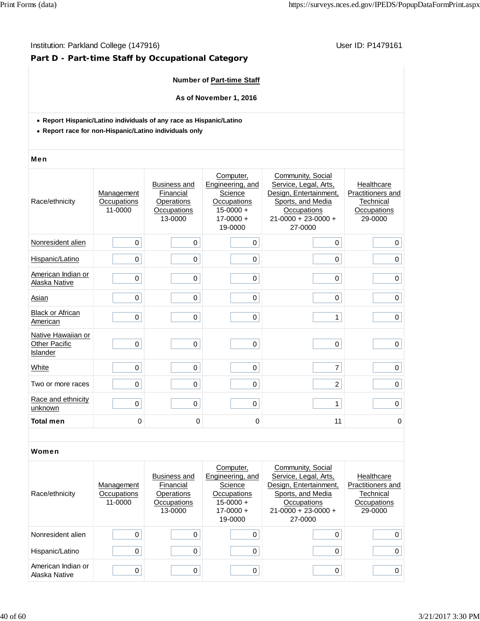## Institution: Parkland College (147916) **Institution: Parkland College (147916**)

# **Part D - Part-time Staff by Occupational Category**

## **Number of Part-time Staff**

**As of November 1, 2016**

- **Report Hispanic/Latino individuals of any race as Hispanic/Latino**
- **Report race for non-Hispanic/Latino individuals only**

#### Men

| Race/ethnicity                                         | Management<br>Occupations<br>11-0000 | <b>Business and</b><br>Financial<br>Operations<br>Occupations<br>13-0000 | Computer,<br>Engineering, and<br>Science<br>Occupations<br>$15 - 0000 +$<br>$17 - 0000 +$<br>19-0000 | Community, Social<br>Service, Legal, Arts,<br>Design, Entertainment,<br>Sports, and Media<br>Occupations<br>$21 - 0000 + 23 - 0000 +$<br>27-0000 | Healthcare<br>Practitioners and<br>Technical<br>Occupations<br>29-0000 |
|--------------------------------------------------------|--------------------------------------|--------------------------------------------------------------------------|------------------------------------------------------------------------------------------------------|--------------------------------------------------------------------------------------------------------------------------------------------------|------------------------------------------------------------------------|
| Nonresident alien                                      | 0                                    | $\mathbf 0$                                                              | 0                                                                                                    | $\mathbf 0$                                                                                                                                      | 0                                                                      |
| Hispanic/Latino                                        | $\mathbf 0$                          | $\mathbf 0$                                                              | 0                                                                                                    | 0                                                                                                                                                | $\mathbf 0$                                                            |
| American Indian or<br>Alaska Native                    | $\mathbf 0$                          | $\mathbf 0$                                                              | 0                                                                                                    | 0                                                                                                                                                | $\mathbf 0$                                                            |
| Asian                                                  | $\mathbf 0$                          | $\mathbf 0$                                                              | 0                                                                                                    | 0                                                                                                                                                | 0                                                                      |
| <b>Black or African</b><br>American                    | $\mathbf 0$                          | $\mathbf 0$                                                              | 0                                                                                                    | $\mathbf{1}$                                                                                                                                     | $\mathbf 0$                                                            |
| Native Hawaiian or<br><b>Other Pacific</b><br>Islander | $\mathbf 0$                          | $\mathbf 0$                                                              | 0                                                                                                    | $\mathbf 0$                                                                                                                                      | $\mathbf 0$                                                            |
| White                                                  | $\mathbf 0$                          | $\mathbf 0$                                                              | 0                                                                                                    | $\overline{7}$                                                                                                                                   | 0                                                                      |
| Two or more races                                      | 0                                    | $\pmb{0}$                                                                | 0                                                                                                    | $\overline{2}$                                                                                                                                   | 0                                                                      |
| Race and ethnicity<br>unknown                          | $\mathbf 0$                          | $\mathbf 0$                                                              | 0                                                                                                    | $\mathbf{1}$                                                                                                                                     | $\mathbf 0$                                                            |
| <b>Total men</b>                                       | 0                                    | 0                                                                        | 0                                                                                                    | 11                                                                                                                                               | 0                                                                      |

| Race/ethnicity                      | Management<br>Occupations<br>11-0000 | <b>Business and</b><br>Financial<br>Operations<br>Occupations<br>13-0000 | Computer,<br>Engineering, and<br>Science<br>Occupations<br>$15-0000 +$<br>$17 - 0000 +$<br>19-0000 | Community, Social<br>Service, Legal, Arts,<br>Design, Entertainment,<br>Sports, and Media<br>Occupations<br>$21-0000 + 23-0000 +$<br>27-0000 | Healthcare<br>Practitioners and<br>Technical<br>Occupations<br>29-0000 |
|-------------------------------------|--------------------------------------|--------------------------------------------------------------------------|----------------------------------------------------------------------------------------------------|----------------------------------------------------------------------------------------------------------------------------------------------|------------------------------------------------------------------------|
| Nonresident alien                   |                                      |                                                                          |                                                                                                    | 0                                                                                                                                            | 0                                                                      |
| Hispanic/Latino                     |                                      |                                                                          |                                                                                                    | 0                                                                                                                                            | 0                                                                      |
| American Indian or<br>Alaska Native | 0                                    |                                                                          | 0                                                                                                  | 0                                                                                                                                            | 0                                                                      |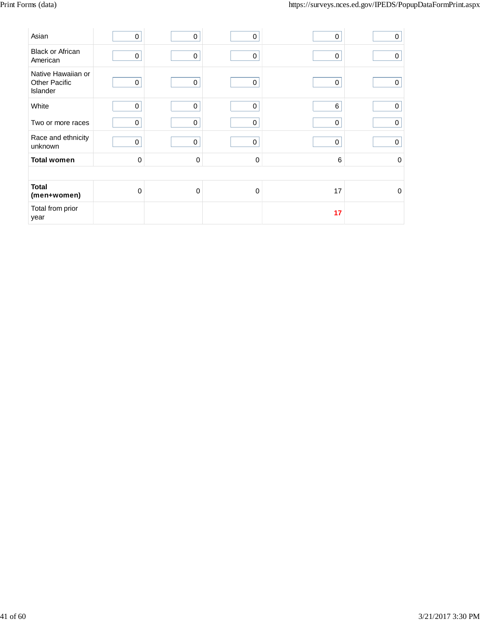| Asian                                                  | 0           | 0                | 0           | 0  | $\pmb{0}$   |
|--------------------------------------------------------|-------------|------------------|-------------|----|-------------|
| <b>Black or African</b><br>American                    | 0           | 0                | $\mathbf 0$ | 0  | 0           |
| Native Hawaiian or<br><b>Other Pacific</b><br>Islander | $\mathbf 0$ | $\mathbf 0$      | $\mathbf 0$ | 0  | $\Omega$    |
| White                                                  | 0           | $\mathbf 0$      | $\mathbf 0$ | 6  | $\mathbf 0$ |
| Two or more races                                      | 0           | $\mathbf 0$      | 0           | 0  | 0           |
| Race and ethnicity<br>unknown                          | 0           | $\boldsymbol{0}$ | 0           | 0  | $\pmb{0}$   |
| <b>Total women</b>                                     | $\pmb{0}$   | $\mathbf 0$      | $\mathbf 0$ | 6  | $\mathbf 0$ |
|                                                        |             |                  |             |    |             |
| <b>Total</b><br>(men+women)                            | 0           | $\Omega$         | $\mathbf 0$ | 17 | $\mathbf 0$ |
| Total from prior<br>year                               |             |                  |             | 17 |             |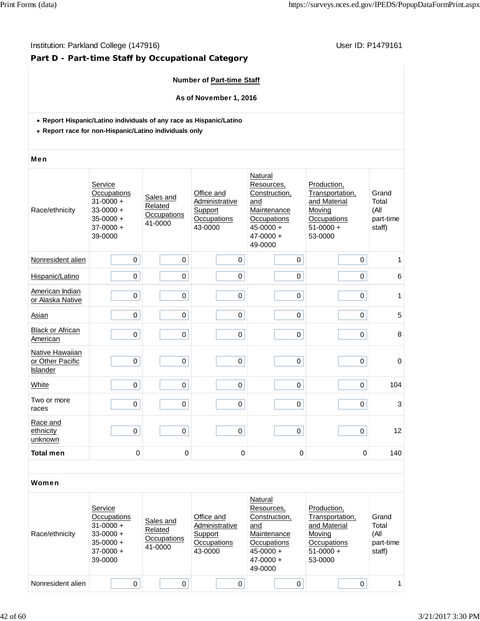## Institution: Parkland College (147916) **Institution: Parkland College (147916**)

# **Part D - Part-time Staff by Occupational Category**

## **Number of Part-time Staff**

**As of November 1, 2016**

- **Report Hispanic/Latino individuals of any race as Hispanic/Latino**
- **Report race for non-Hispanic/Latino individuals only**

#### Men

| Race/ethnicity                                  | Service<br>Occupations<br>$31 - 0000 +$<br>$33 - 0000 +$<br>$35 - 0000 +$<br>$37-0000 +$<br>39-0000 | Sales and<br>Related<br>Occupations<br>41-0000 | Office and<br>Administrative<br>Support<br>Occupations<br>43-0000 | Natural<br>Resources,<br>Construction,<br>and<br>Maintenance<br>Occupations<br>$45 - 0000 +$<br>$47 - 0000 +$<br>49-0000 | Production,<br>Transportation,<br>and Material<br>Moving<br>Occupations<br>$51-0000 +$<br>53-0000 | Grand<br>Total<br>(All<br>part-time<br>staff) |
|-------------------------------------------------|-----------------------------------------------------------------------------------------------------|------------------------------------------------|-------------------------------------------------------------------|--------------------------------------------------------------------------------------------------------------------------|---------------------------------------------------------------------------------------------------|-----------------------------------------------|
| Nonresident alien                               | $\mathbf 0$                                                                                         | 0                                              | $\mathbf 0$                                                       | $\pmb{0}$                                                                                                                | 0                                                                                                 | 1                                             |
| Hispanic/Latino                                 | 0                                                                                                   | 0                                              | $\pmb{0}$                                                         | 0                                                                                                                        | 0                                                                                                 | 6                                             |
| American Indian<br>or Alaska Native             | $\mathsf 0$                                                                                         | $\pmb{0}$                                      | $\mathsf 0$                                                       | $\mathsf 0$                                                                                                              | $\pmb{0}$                                                                                         | 1                                             |
| Asian                                           | $\mathbf 0$                                                                                         | 0                                              | $\pmb{0}$                                                         | 0                                                                                                                        | $\mathbf 0$                                                                                       | 5                                             |
| <b>Black or African</b><br>American             | $\mathbf 0$                                                                                         | $\mathbf 0$                                    | $\mathbf 0$                                                       | 0                                                                                                                        | $\mathbf 0$                                                                                       | 8                                             |
| Native Hawaiian<br>or Other Pacific<br>Islander | $\pmb{0}$                                                                                           | 0                                              | $\pmb{0}$                                                         | 0                                                                                                                        | 0                                                                                                 | $\mathbf 0$                                   |
| White                                           | $\pmb{0}$                                                                                           | $\mathsf 0$                                    | $\pmb{0}$                                                         | $\pmb{0}$                                                                                                                | $\mathsf 0$                                                                                       | 104                                           |
| Two or more<br>races                            | 0                                                                                                   | 0                                              | $\mathbf 0$                                                       | 0                                                                                                                        | $\mathbf 0$                                                                                       | 3                                             |
| Race and<br>ethnicity<br>unknown                | $\mathbf 0$                                                                                         | $\mathsf 0$                                    | $\pmb{0}$                                                         | $\pmb{0}$                                                                                                                | 0                                                                                                 | 12                                            |
| <b>Total men</b>                                | 0                                                                                                   | 0                                              | $\mathbf 0$                                                       | $\mathbf 0$                                                                                                              | 0                                                                                                 | 140                                           |
|                                                 |                                                                                                     |                                                |                                                                   |                                                                                                                          |                                                                                                   |                                               |

| Race/ethnicity    | Service<br>Occupations<br>$31 - 0000 +$<br>$33-0000 +$<br>$35-0000 +$<br>$37-0000 +$<br>39-0000 | Sales and<br>Related<br>Occupations<br>41-0000 | Office and<br>Administrative<br>Support<br>Occupations<br>43-0000 | Natural<br>Resources,<br>Construction,<br>and<br>Maintenance<br><b>Occupations</b><br>$45 - 0000 +$<br>$47 - 0000 +$<br>49-0000 | Production,<br>Transportation,<br>and Material<br>Moving<br>Occupations<br>$51-0000 +$<br>53-0000 | Grand<br>Total<br>(All<br>part-time<br>staff) |
|-------------------|-------------------------------------------------------------------------------------------------|------------------------------------------------|-------------------------------------------------------------------|---------------------------------------------------------------------------------------------------------------------------------|---------------------------------------------------------------------------------------------------|-----------------------------------------------|
| Nonresident alien |                                                                                                 | 0                                              | 0                                                                 | 0                                                                                                                               |                                                                                                   |                                               |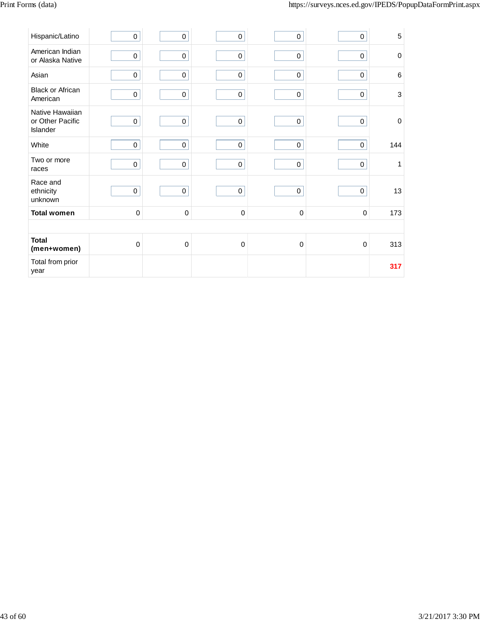| Hispanic/Latino                                 | $\pmb{0}$   | $\pmb{0}$   | $\pmb{0}$   | $\mathbf 0$         | $\pmb{0}$   | $\overline{5}$ |
|-------------------------------------------------|-------------|-------------|-------------|---------------------|-------------|----------------|
| American Indian<br>or Alaska Native             | $\pmb{0}$   | $\pmb{0}$   | $\pmb{0}$   | $\mathbf 0$         | $\pmb{0}$   | $\mathbf 0$    |
| Asian                                           | $\pmb{0}$   | $\pmb{0}$   | $\mathsf 0$ | $\mathsf{O}\xspace$ | $\mathsf 0$ | $\,6$          |
| <b>Black or African</b><br>American             | $\pmb{0}$   | $\pmb{0}$   | $\mathsf 0$ | $\mathsf{O}\xspace$ | $\mathbf 0$ | 3              |
| Native Hawaiian<br>or Other Pacific<br>Islander | $\pmb{0}$   | $\pmb{0}$   | $\pmb{0}$   | $\pmb{0}$           | $\pmb{0}$   | $\mathbf 0$    |
| White                                           | $\pmb{0}$   | $\mathbf 0$ | $\mathbf 0$ | $\pmb{0}$           | $\mathsf 0$ | 144            |
| Two or more<br>races                            | $\pmb{0}$   | $\pmb{0}$   | $\pmb{0}$   | $\mathbf 0$         | $\pmb{0}$   | 1              |
| Race and<br>ethnicity<br>unknown                | $\mathsf 0$ | $\pmb{0}$   | $\mathbf 0$ | $\pmb{0}$           | $\pmb{0}$   | 13             |
| <b>Total women</b>                              | $\pmb{0}$   | $\pmb{0}$   | $\pmb{0}$   | $\pmb{0}$           | $\pmb{0}$   | 173            |
|                                                 |             |             |             |                     |             |                |
| <b>Total</b><br>(men+women)                     | $\mathbf 0$ | $\pmb{0}$   | $\pmb{0}$   | $\mathbf 0$         | $\mathbf 0$ | 313            |
| Total from prior<br>year                        |             |             |             |                     |             | 317            |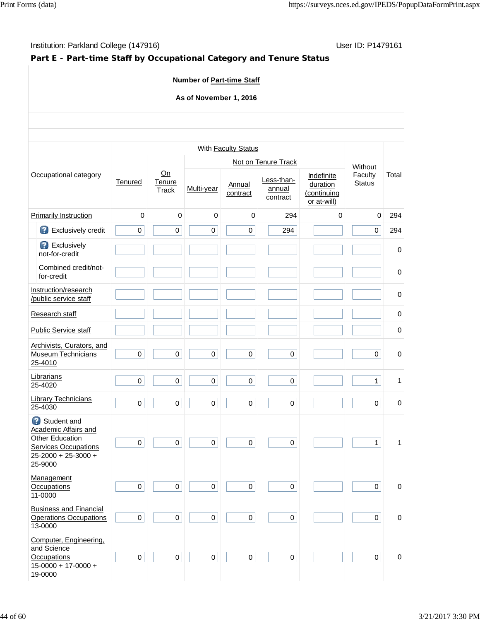# **Part E - Part-time Staff by Occupational Category and Tenure Status**

## **Number of Part-time Staff**

## **As of November 1, 2016**

|                                                                                                                                |                     |                              |              | With Faculty Status |                                  |                                                      |                          |             |
|--------------------------------------------------------------------------------------------------------------------------------|---------------------|------------------------------|--------------|---------------------|----------------------------------|------------------------------------------------------|--------------------------|-------------|
|                                                                                                                                |                     |                              |              |                     | Not on Tenure Track              |                                                      | Without                  |             |
| Occupational category                                                                                                          | Tenured             | On<br>Tenure<br><b>Track</b> | Multi-year   | Annual<br>contract  | Less-than-<br>annual<br>contract | Indefinite<br>duration<br>(continuing<br>or at-will) | Faculty<br><b>Status</b> | Total       |
| <b>Primarily Instruction</b>                                                                                                   | $\mathbf 0$         | 0                            | $\mathbf 0$  | $\mathbf 0$         | 294                              | $\mathbf 0$                                          | $\mathbf 0$              | 294         |
| 2<br>Exclusively credit                                                                                                        | 0                   | 0                            | $\mathbf 0$  | 0                   | 294                              |                                                      | $\mathbf 0$              | 294         |
| <b>B</b> Exclusively<br>not-for-credit                                                                                         |                     |                              |              |                     |                                  |                                                      |                          | $\mathbf 0$ |
| Combined credit/not-<br>for-credit                                                                                             |                     |                              |              |                     |                                  |                                                      |                          | $\mathbf 0$ |
| Instruction/research<br>/public service staff                                                                                  |                     |                              |              |                     |                                  |                                                      |                          | $\mathbf 0$ |
| Research staff                                                                                                                 |                     |                              |              |                     |                                  |                                                      |                          | $\mathbf 0$ |
| <b>Public Service staff</b>                                                                                                    |                     |                              |              |                     |                                  |                                                      |                          | 0           |
| Archivists, Curators, and<br>Museum Technicians<br>25-4010                                                                     | $\mathsf 0$         | $\pmb{0}$                    | $\pmb{0}$    | $\pmb{0}$           | $\pmb{0}$                        |                                                      | $\pmb{0}$                | 0           |
| Librarians<br>25-4020                                                                                                          | 0                   | 0                            | $\pmb{0}$    | 0                   | $\mathbf 0$                      |                                                      | $\mathbf{1}$             | 1           |
| <b>Library Technicians</b><br>25-4030                                                                                          | 0                   | $\mathbf 0$                  | $\mathbf 0$  | 0                   | 0                                |                                                      | $\mathbf 0$              | $\mathbf 0$ |
| Student and<br>Academic Affairs and<br><b>Other Education</b><br><b>Services Occupations</b><br>25-2000 + 25-3000 +<br>25-9000 | $\mathsf 0$         | $\mathbf 0$                  | $\pmb{0}$    | $\mathsf 0$         | $\pmb{0}$                        |                                                      | $\mathbf{1}$             | 1           |
| Management<br><b>Occupations</b><br>11-0000                                                                                    | 0                   | 0                            | 0            | 0                   | 0                                |                                                      | 0                        | 0           |
| <b>Business and Financial</b><br><b>Operations Occupations</b><br>13-0000                                                      | $\mathsf{O}\xspace$ | 0                            | $\pmb{0}$    | $\mathsf{O}\xspace$ | $\mathsf{O}\xspace$              |                                                      | $\mathbf 0$              | $\mathbf 0$ |
| Computer, Engineering,<br>and Science<br>Occupations<br>$15-0000 + 17-0000 +$<br>19-0000                                       | $\mathsf{O}\xspace$ | 0                            | $\mathsf{O}$ | $\pmb{0}$           | $\boldsymbol{0}$                 |                                                      | $\mathsf{O}$             | $\mathbf 0$ |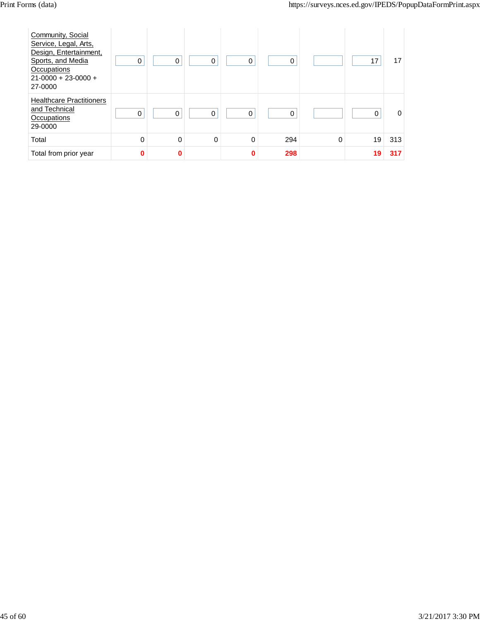| Community, Social<br>Service, Legal, Arts,<br>Design, Entertainment,<br>Sports, and Media<br>Occupations<br>$21-0000 + 23-0000 +$<br>27-0000 | 0 | 0        | 0 | 0        | 0   |          | 17       | 17       |
|----------------------------------------------------------------------------------------------------------------------------------------------|---|----------|---|----------|-----|----------|----------|----------|
| <b>Healthcare Practitioners</b><br>and Technical<br>Occupations<br>29-0000                                                                   | 0 | $\Omega$ | 0 | 0        | 0   |          | $\Omega$ | $\Omega$ |
| Total                                                                                                                                        | 0 | 0        | 0 | 0        | 294 | $\Omega$ | 19       | 313      |
| Total from prior year                                                                                                                        | 0 | 0        |   | $\bf{0}$ | 298 |          | 19       | 317      |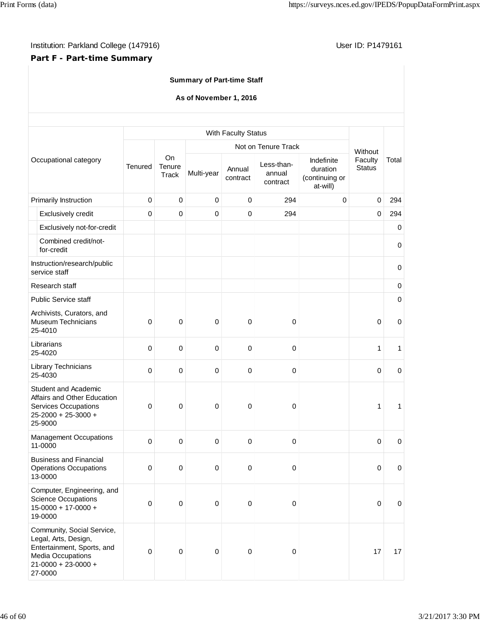## **Part F - Part-time Summary**

## **Summary of Part-time Staff**

#### **As of November 1, 2016**

|                                                                                                                                               |             |                       |            | With Faculty Status |                                  |                                                      |                          |             |
|-----------------------------------------------------------------------------------------------------------------------------------------------|-------------|-----------------------|------------|---------------------|----------------------------------|------------------------------------------------------|--------------------------|-------------|
|                                                                                                                                               |             |                       |            |                     | Not on Tenure Track              |                                                      | Without                  |             |
| Occupational category                                                                                                                         | Tenured     | On<br>Tenure<br>Track | Multi-year | Annual<br>contract  | Less-than-<br>annual<br>contract | Indefinite<br>duration<br>(continuing or<br>at-will) | Faculty<br><b>Status</b> | Total       |
| Primarily Instruction                                                                                                                         | 0           | $\pmb{0}$             | $\pmb{0}$  | $\pmb{0}$           | 294                              | $\mathbf 0$                                          | 0                        | 294         |
| Exclusively credit                                                                                                                            | 0           | $\pmb{0}$             | 0          | 0                   | 294                              |                                                      | $\mathbf 0$              | 294         |
| Exclusively not-for-credit                                                                                                                    |             |                       |            |                     |                                  |                                                      |                          | $\mathbf 0$ |
| Combined credit/not-<br>for-credit                                                                                                            |             |                       |            |                     |                                  |                                                      |                          | $\mathbf 0$ |
| Instruction/research/public<br>service staff                                                                                                  |             |                       |            |                     |                                  |                                                      |                          | $\mathbf 0$ |
| Research staff                                                                                                                                |             |                       |            |                     |                                  |                                                      |                          | $\mathbf 0$ |
| <b>Public Service staff</b>                                                                                                                   |             |                       |            |                     |                                  |                                                      |                          | $\pmb{0}$   |
| Archivists, Curators, and<br><b>Museum Technicians</b><br>25-4010                                                                             | $\mathbf 0$ | 0                     | 0          | 0                   | 0                                |                                                      | 0                        | $\mathbf 0$ |
| Librarians<br>25-4020                                                                                                                         | $\mathbf 0$ | $\pmb{0}$             | 0          | 0                   | 0                                |                                                      | 1                        | 1           |
| Library Technicians<br>25-4030                                                                                                                | 0           | $\pmb{0}$             | 0          | 0                   | 0                                |                                                      | $\mathbf 0$              | $\mathbf 0$ |
| <b>Student and Academic</b><br>Affairs and Other Education<br><b>Services Occupations</b><br>25-2000 + 25-3000 +<br>25-9000                   | 0           | 0                     | 0          | 0                   | 0                                |                                                      | 1                        | 1           |
| <b>Management Occupations</b><br>11-0000                                                                                                      | $\mathbf 0$ | $\pmb{0}$             | 0          | $\mathbf 0$         | 0                                |                                                      | $\mathbf 0$              | $\mathbf 0$ |
| <b>Business and Financial</b><br><b>Operations Occupations</b><br>13-0000                                                                     | 0           | 0                     | 0          | 0                   | 0                                |                                                      | 0                        | 0           |
| Computer, Engineering, and<br><b>Science Occupations</b><br>$15-0000 + 17-0000 +$<br>19-0000                                                  | 0           | $\pmb{0}$             | $\pmb{0}$  | $\pmb{0}$           | $\,0\,$                          |                                                      | $\boldsymbol{0}$         | $\mathbf 0$ |
| Community, Social Service,<br>Legal, Arts, Design,<br>Entertainment, Sports, and<br>Media Occupations<br>$21 - 0000 + 23 - 0000 +$<br>27-0000 | $\mathbf 0$ | $\pmb{0}$             | $\pmb{0}$  | 0                   | $\pmb{0}$                        |                                                      | 17                       | 17          |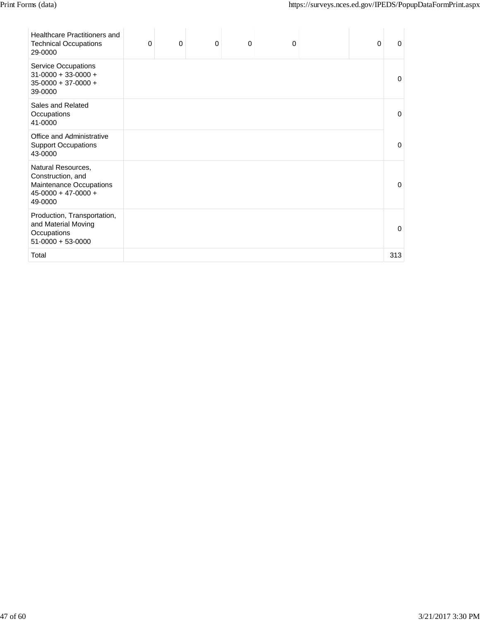| <b>Healthcare Practitioners and</b><br><b>Technical Occupations</b><br>29-0000                         | 0 | 0 | 0 | $\mathbf 0$ | 0 | 0 | 0   |
|--------------------------------------------------------------------------------------------------------|---|---|---|-------------|---|---|-----|
| Service Occupations<br>$31-0000 + 33-0000 +$<br>$35-0000 + 37-0000 +$<br>39-0000                       |   |   |   |             |   |   | 0   |
| Sales and Related<br>Occupations<br>41-0000                                                            |   |   |   |             |   |   | 0   |
| Office and Administrative<br><b>Support Occupations</b><br>43-0000                                     |   |   |   |             |   |   | 0   |
| Natural Resources,<br>Construction, and<br>Maintenance Occupations<br>$45-0000 + 47-0000 +$<br>49-0000 |   |   |   |             |   |   | 0   |
| Production, Transportation,<br>and Material Moving<br>Occupations<br>$51-0000 + 53-0000$               |   |   |   |             |   |   | 0   |
| Total                                                                                                  |   |   |   |             |   |   | 313 |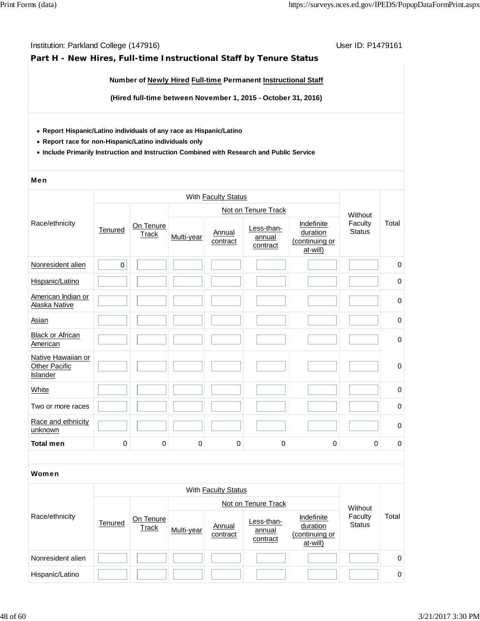## **Part H - New Hires, Full-time Instructional Staff by Tenure Status**

#### **Number of Newly Hired Full-time Permanent Instructional Staff**

**(Hired full-time between November 1, 2015 - October 31, 2016)**

- **Report Hispanic/Latino individuals of any race as Hispanic/Latino**
- **Report race for non-Hispanic/Latino individuals only**
- **Include Primarily Instruction and Instruction Combined with Research and Public Service**

#### Men

|                                                 |             |                           |            | With Faculty Status        |                                  |                                                      |                          |             |
|-------------------------------------------------|-------------|---------------------------|------------|----------------------------|----------------------------------|------------------------------------------------------|--------------------------|-------------|
|                                                 |             |                           |            |                            | Not on Tenure Track              |                                                      | Without                  |             |
| Race/ethnicity                                  | Tenured     | On Tenure<br><b>Track</b> | Multi-year | Annual<br>contract         | Less-than-<br>annual<br>contract | Indefinite<br>duration<br>(continuing or<br>at-will) | Faculty<br><b>Status</b> | Total       |
| Nonresident alien                               | $\mathsf 0$ |                           |            |                            |                                  |                                                      |                          | $\pmb{0}$   |
| Hispanic/Latino                                 |             |                           |            |                            |                                  |                                                      |                          | 0           |
| American Indian or<br>Alaska Native             |             |                           |            |                            |                                  |                                                      |                          | 0           |
| Asian                                           |             |                           |            |                            |                                  |                                                      |                          | $\mathbf 0$ |
| <b>Black or African</b><br>American             |             |                           |            |                            |                                  |                                                      |                          | 0           |
| Native Hawaiian or<br>Other Pacific<br>Islander |             |                           |            |                            |                                  |                                                      |                          | $\mathbf 0$ |
| White                                           |             |                           |            |                            |                                  |                                                      |                          | $\mathsf 0$ |
| Two or more races                               |             |                           |            |                            |                                  |                                                      |                          | 0           |
| Race and ethnicity<br>unknown                   |             |                           |            |                            |                                  |                                                      |                          | 0           |
| <b>Total men</b>                                | $\mathbf 0$ | $\mathbf 0$               | 0          | $\pmb{0}$                  | 0                                | $\mathbf 0$                                          | $\mathbf 0$              | $\pmb{0}$   |
|                                                 |             |                           |            |                            |                                  |                                                      |                          |             |
| <b>Women</b>                                    |             |                           |            |                            |                                  |                                                      |                          |             |
|                                                 |             |                           |            | With <b>Faculty Status</b> |                                  |                                                      |                          |             |
|                                                 |             |                           |            |                            | Not on Tenure Track              |                                                      | Without                  |             |
| Race/ethnicity                                  | Tenured     | On Tenure<br>Track        | Multi-year | Annual<br>contract         | Less-than-<br>annual<br>contract | Indefinite<br>duration<br>(continuing or<br>at-will) | Faculty<br><b>Status</b> | Total       |
| Nonresident alien                               |             |                           |            |                            |                                  |                                                      |                          | $\pmb{0}$   |
| Hispanic/Latino                                 |             |                           |            |                            |                                  |                                                      |                          | 0           |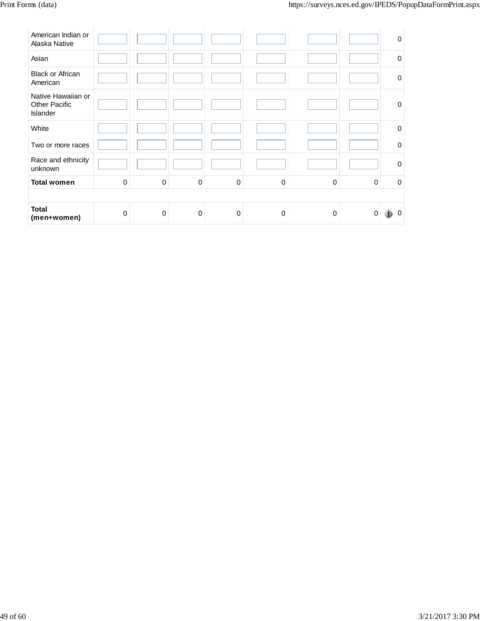| American Indian or<br>Alaska Native                           |             |             |             |             |             |          |          | $\mathbf 0$ |
|---------------------------------------------------------------|-------------|-------------|-------------|-------------|-------------|----------|----------|-------------|
| Asian                                                         |             |             |             |             |             |          |          | $\mathbf 0$ |
| <b>Black or African</b><br>American                           |             |             |             |             |             |          |          | $\mathbf 0$ |
| Native Hawaiian or<br><b>Other Pacific</b><br><b>Islander</b> |             |             |             |             |             |          |          | 0           |
| White                                                         |             |             |             |             |             |          |          | $\mathbf 0$ |
| Two or more races                                             |             |             |             |             |             |          |          | $\mathbf 0$ |
| Race and ethnicity<br>unknown                                 |             |             |             |             |             |          |          | $\mathbf 0$ |
| <b>Total women</b>                                            | $\mathbf 0$ | $\mathbf 0$ | 0           | 0           | $\mathbf 0$ | $\Omega$ | $\Omega$ | $\mathbf 0$ |
|                                                               |             |             |             |             |             |          |          |             |
| <b>Total</b><br>(men+women)                                   | $\Omega$    | $\mathbf 0$ | $\mathbf 0$ | $\mathbf 0$ | 0           | $\Omega$ | 0        | $\Omega$    |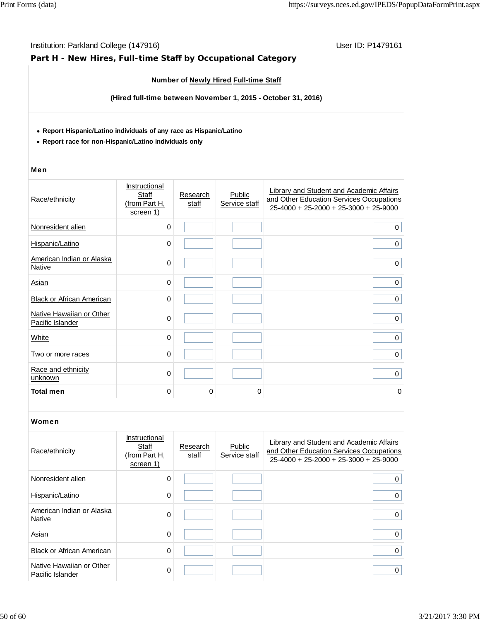| Institution: Parkland College (147916)<br>Part H - New Hires, Full-time Staff by Occupational Category                        |                                                      |                   |                                       | User ID: P1479161                                                                                                               |
|-------------------------------------------------------------------------------------------------------------------------------|------------------------------------------------------|-------------------|---------------------------------------|---------------------------------------------------------------------------------------------------------------------------------|
|                                                                                                                               |                                                      |                   | Number of Newly Hired Full-time Staff |                                                                                                                                 |
|                                                                                                                               |                                                      |                   |                                       | (Hired full-time between November 1, 2015 - October 31, 2016)                                                                   |
| • Report Hispanic/Latino individuals of any race as Hispanic/Latino<br>• Report race for non-Hispanic/Latino individuals only |                                                      |                   |                                       |                                                                                                                                 |
| Men                                                                                                                           |                                                      |                   |                                       |                                                                                                                                 |
| Race/ethnicity                                                                                                                | Instructional<br>Staff<br>(from Part H,<br>screen 1) | Research<br>staff | Public<br>Service staff               | Library and Student and Academic Affairs<br>and Other Education Services Occupations<br>$25-4000 + 25-2000 + 25-3000 + 25-9000$ |
| Nonresident alien                                                                                                             | 0                                                    |                   |                                       | 0                                                                                                                               |
| Hispanic/Latino                                                                                                               | 0                                                    |                   |                                       | 0                                                                                                                               |
| American Indian or Alaska<br><b>Native</b>                                                                                    | 0                                                    |                   |                                       | 0                                                                                                                               |
| Asian                                                                                                                         | 0                                                    |                   |                                       | $\mathbf 0$                                                                                                                     |
| Black or African American                                                                                                     | 0                                                    |                   |                                       | 0                                                                                                                               |
| Native Hawaiian or Other<br>Pacific Islander                                                                                  | 0                                                    |                   |                                       | 0                                                                                                                               |
| White                                                                                                                         | 0                                                    |                   |                                       | 0                                                                                                                               |
| Two or more races                                                                                                             | 0                                                    |                   |                                       | 0                                                                                                                               |
| Race and ethnicity<br>unknown                                                                                                 | 0                                                    |                   |                                       | $\mathbf 0$                                                                                                                     |
| <b>Total men</b>                                                                                                              | 0                                                    | U                 | U                                     | 0                                                                                                                               |
| Women                                                                                                                         |                                                      |                   |                                       |                                                                                                                                 |
| Race/ethnicity                                                                                                                | Instructional<br>Staff<br>(from Part H,<br>screen 1) | Research<br>staff | Public<br>Service staff               | Library and Student and Academic Affairs<br>and Other Education Services Occupations<br>25-4000 + 25-2000 + 25-3000 + 25-9000   |
| Nonresident alien                                                                                                             | 0                                                    |                   |                                       | 0                                                                                                                               |
| Hispanic/Latino                                                                                                               | 0                                                    |                   |                                       | 0                                                                                                                               |
| American Indian or Alaska<br><b>Native</b>                                                                                    | 0                                                    |                   |                                       | $\mathbf 0$                                                                                                                     |
| Asian                                                                                                                         | 0                                                    |                   |                                       | 0                                                                                                                               |
| <b>Black or African American</b>                                                                                              | 0                                                    |                   |                                       | $\mathbf 0$                                                                                                                     |
| Native Hawaiian or Other<br>Pacific Islander                                                                                  | 0                                                    |                   |                                       | $\mathbf 0$                                                                                                                     |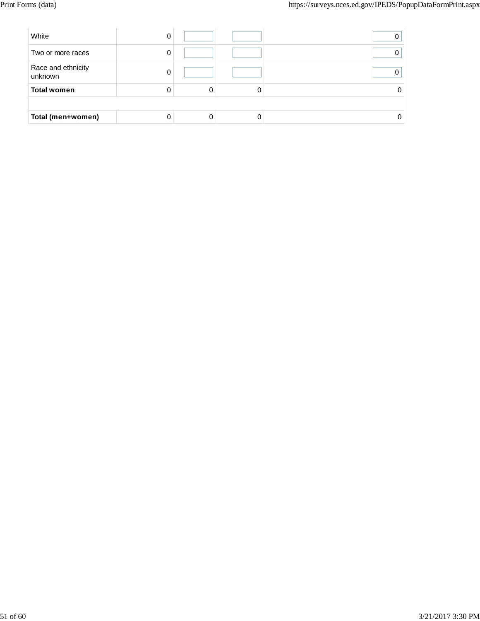| White                         | υ |   |  |
|-------------------------------|---|---|--|
| Two or more races             |   |   |  |
| Race and ethnicity<br>unknown |   |   |  |
| <b>Total women</b>            |   | 0 |  |
|                               |   |   |  |
| Total (men+women)             |   |   |  |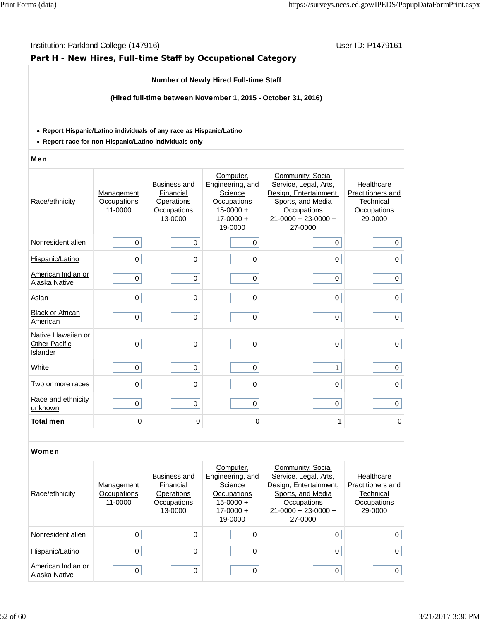## **Part H - New Hires, Full-time Staff by Occupational Category**

## **Number of Newly Hired Full-time Staff**

**(Hired full-time between November 1, 2015 - October 31, 2016)**

#### **Report Hispanic/Latino individuals of any race as Hispanic/Latino**

**Report race for non-Hispanic/Latino individuals only**

#### Men

| Race/ethnicity                                         | Management<br>Occupations<br>11-0000 | <b>Business and</b><br>Financial<br>Operations<br>Occupations<br>13-0000 | Computer,<br>Engineering, and<br>Science<br>Occupations<br>$15 - 0000 +$<br>$17 - 0000 +$<br>19-0000 | Community, Social<br>Service, Legal, Arts,<br>Design, Entertainment,<br>Sports, and Media<br>Occupations<br>$21 - 0000 + 23 - 0000 +$<br>27-0000 | Healthcare<br>Practitioners and<br>Technical<br>Occupations<br>29-0000 |
|--------------------------------------------------------|--------------------------------------|--------------------------------------------------------------------------|------------------------------------------------------------------------------------------------------|--------------------------------------------------------------------------------------------------------------------------------------------------|------------------------------------------------------------------------|
| Nonresident alien                                      | 0                                    | 0                                                                        | 0                                                                                                    | 0                                                                                                                                                | 0                                                                      |
| Hispanic/Latino                                        | 0                                    | $\Omega$                                                                 | $\Omega$                                                                                             | $\mathbf 0$                                                                                                                                      | $\mathbf 0$                                                            |
| American Indian or<br>Alaska Native                    | 0                                    | $\mathbf 0$                                                              | 0                                                                                                    | 0                                                                                                                                                | $\mathbf 0$                                                            |
| Asian                                                  | 0                                    | $\mathbf 0$                                                              | 0                                                                                                    | 0                                                                                                                                                | 0                                                                      |
| <b>Black or African</b><br>American                    | 0                                    | $\mathbf 0$                                                              | 0                                                                                                    | 0                                                                                                                                                | 0                                                                      |
| Native Hawaiian or<br><b>Other Pacific</b><br>Islander | 0                                    | $\mathbf 0$                                                              | 0                                                                                                    | $\mathbf 0$                                                                                                                                      | $\mathbf 0$                                                            |
| White                                                  | 0                                    | $\mathbf 0$                                                              | 0                                                                                                    | 1                                                                                                                                                | 0                                                                      |
| Two or more races                                      | 0                                    | $\mathbf 0$                                                              | 0                                                                                                    | 0                                                                                                                                                | 0                                                                      |
| Race and ethnicity<br>unknown                          | 0                                    | $\mathbf 0$                                                              | 0                                                                                                    | 0                                                                                                                                                | $\mathbf 0$                                                            |
| <b>Total men</b>                                       | $\mathbf 0$                          | $\mathbf 0$                                                              | $\Omega$                                                                                             | 1                                                                                                                                                | 0                                                                      |

| Race/ethnicity                      | Management<br>Occupations<br>11-0000 | Business and<br>Financial<br>Operations<br>Occupations<br>13-0000 | Computer,<br>Engineering, and<br>Science<br>Occupations<br>$15-0000 +$<br>$17-0000 +$<br>19-0000 | Community, Social<br>Service, Legal, Arts,<br>Design, Entertainment,<br>Sports, and Media<br>Occupations<br>$21-0000 + 23-0000 +$<br>27-0000 | Healthcare<br>Practitioners and<br>Technical<br>Occupations<br>29-0000 |
|-------------------------------------|--------------------------------------|-------------------------------------------------------------------|--------------------------------------------------------------------------------------------------|----------------------------------------------------------------------------------------------------------------------------------------------|------------------------------------------------------------------------|
| Nonresident alien                   |                                      |                                                                   |                                                                                                  | 0                                                                                                                                            | 0                                                                      |
| Hispanic/Latino                     |                                      |                                                                   |                                                                                                  | 0                                                                                                                                            | 0                                                                      |
| American Indian or<br>Alaska Native |                                      |                                                                   |                                                                                                  | 0                                                                                                                                            | 0                                                                      |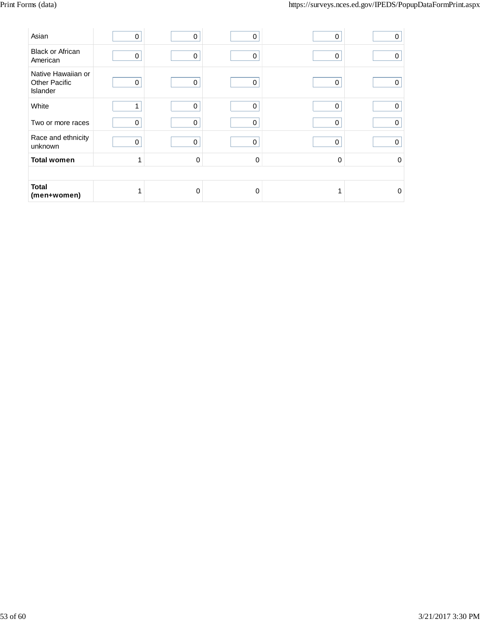| Asian                                                         | 0           | 0 | $\mathbf 0$ | 0 | 0           |
|---------------------------------------------------------------|-------------|---|-------------|---|-------------|
| <b>Black or African</b><br>American                           | 0           | 0 | 0           | 0 | 0           |
| Native Hawaiian or<br><b>Other Pacific</b><br><b>Islander</b> | 0           | 0 | $\mathbf 0$ | 0 | 0           |
| White                                                         | 1           | 0 | 0           | 0 | $\mathbf 0$ |
| Two or more races                                             | 0           | 0 | 0           | 0 | $\mathbf 0$ |
| Race and ethnicity<br>unknown                                 | $\mathbf 0$ | 0 | $\mathbf 0$ | 0 | $\Omega$    |
| <b>Total women</b>                                            | 1           | 0 | $\Omega$    | 0 | $\Omega$    |
|                                                               |             |   |             |   |             |
| <b>Total</b><br>(men+women)                                   | 1           | 0 | $\Omega$    |   | $\Omega$    |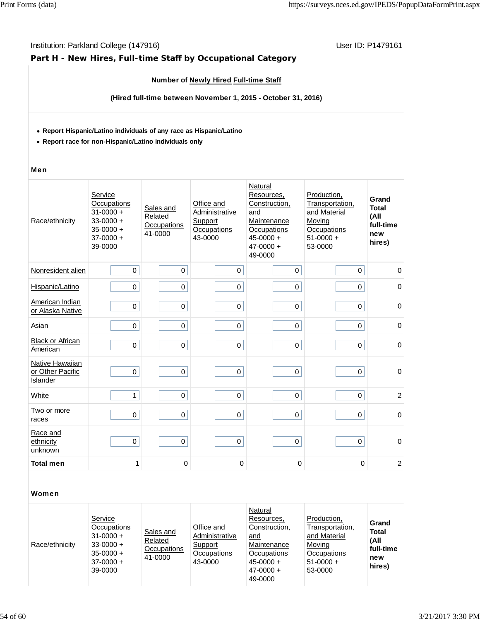## **Part H - New Hires, Full-time Staff by Occupational Category**

## **Number of Newly Hired Full-time Staff**

**(Hired full-time between November 1, 2015 - October 31, 2016)**

#### **Report Hispanic/Latino individuals of any race as Hispanic/Latino**

**Report race for non-Hispanic/Latino individuals only**

#### Men

| Race/ethnicity                                  | Service<br>Occupations<br>$31 - 0000 +$<br>$33 - 0000 +$<br>$35 - 0000 +$<br>$37 - 0000 +$<br>39-0000 | Sales and<br>Related<br>Occupations<br>41-0000 | Office and<br>Administrative<br>Support<br>Occupations<br>43-0000 | Natural<br>Resources,<br>Construction,<br>and<br>Maintenance<br>Occupations<br>$45 - 0000 +$<br>$47 - 0000 +$<br>49-0000 | Production,<br>Transportation,<br>and Material<br>Moving<br>Occupations<br>$51-0000 +$<br>53-0000 | Grand<br><b>Total</b><br>(All<br>full-time<br>new<br>hires) |
|-------------------------------------------------|-------------------------------------------------------------------------------------------------------|------------------------------------------------|-------------------------------------------------------------------|--------------------------------------------------------------------------------------------------------------------------|---------------------------------------------------------------------------------------------------|-------------------------------------------------------------|
| Nonresident alien                               | $\mathbf 0$                                                                                           | $\mathbf 0$                                    | $\mathbf 0$                                                       | 0                                                                                                                        | 0                                                                                                 | $\mathbf 0$                                                 |
| Hispanic/Latino                                 | $\mathbf 0$                                                                                           | 0                                              | 0                                                                 | 0                                                                                                                        | 0                                                                                                 | 0                                                           |
| American Indian<br>or Alaska Native             | $\pmb{0}$                                                                                             | 0                                              | 0                                                                 | 0                                                                                                                        | 0                                                                                                 | $\mathbf 0$                                                 |
| Asian                                           | $\mathbf 0$                                                                                           | 0                                              | 0                                                                 | $\Omega$                                                                                                                 | 0                                                                                                 | $\mathbf 0$                                                 |
| <b>Black or African</b><br>American             | $\mathbf 0$                                                                                           | 0                                              | 0                                                                 | 0                                                                                                                        | 0                                                                                                 | 0                                                           |
| Native Hawaiian<br>or Other Pacific<br>Islander | $\mathbf 0$                                                                                           | 0                                              | 0                                                                 | 0                                                                                                                        | 0                                                                                                 | $\mathbf 0$                                                 |
| White                                           | 1                                                                                                     | $\Omega$                                       | 0                                                                 | $\Omega$                                                                                                                 | 0                                                                                                 | $\overline{c}$                                              |
| Two or more<br>races                            | $\Omega$                                                                                              | 0                                              | 0                                                                 | 0                                                                                                                        | 0                                                                                                 | $\mathbf 0$                                                 |
| Race and<br>ethnicity<br>unknown                | $\mathbf 0$                                                                                           | $\mathbf 0$                                    | 0                                                                 | 0                                                                                                                        | 0                                                                                                 | $\mathbf 0$                                                 |
| <b>Total men</b>                                | 1                                                                                                     | 0                                              | 0                                                                 | 0                                                                                                                        | $\mathbf 0$                                                                                       | $\overline{c}$                                              |

| Race/ethnicity | Service<br>Occupations<br>$31 - 0000 +$<br>$33 - 0000 +$<br>$35 - 0000 +$<br>$37-0000 +$<br>39-0000 | Sales and<br>Related<br>Occupations<br>41-0000 | Office and<br>Administrative<br>Support<br>Occupations<br>43-0000 | Natural<br>Resources,<br>Construction.<br>and<br>Maintenance<br>Occupations<br>$45 - 0000 +$<br>$47 - 0000 +$<br>49-0000 | Production.<br>Transportation,<br>and Material<br>Moving<br>Occupations<br>$51-0000 +$<br>53-0000 | Grand<br><b>Total</b><br>(All<br>full-time<br>new<br>hires) |
|----------------|-----------------------------------------------------------------------------------------------------|------------------------------------------------|-------------------------------------------------------------------|--------------------------------------------------------------------------------------------------------------------------|---------------------------------------------------------------------------------------------------|-------------------------------------------------------------|
|----------------|-----------------------------------------------------------------------------------------------------|------------------------------------------------|-------------------------------------------------------------------|--------------------------------------------------------------------------------------------------------------------------|---------------------------------------------------------------------------------------------------|-------------------------------------------------------------|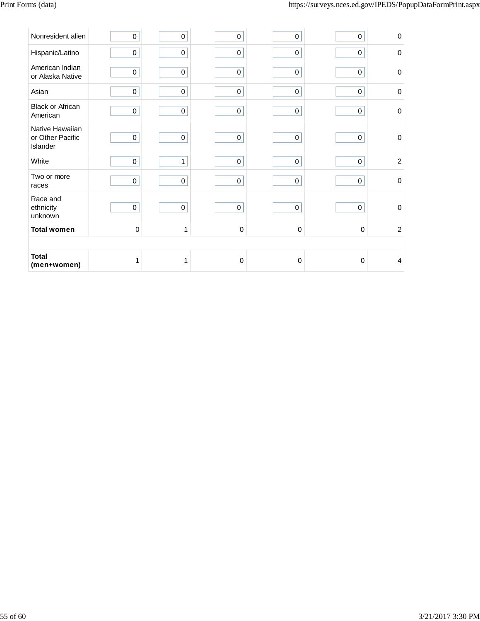| Nonresident alien                               | $\pmb{0}$   | $\pmb{0}$    | $\mathbf 0$ | 0           | $\mathbf 0$ | $\mathbf 0$    |
|-------------------------------------------------|-------------|--------------|-------------|-------------|-------------|----------------|
| Hispanic/Latino                                 | 0           | $\pmb{0}$    | $\pmb{0}$   | $\pmb{0}$   | 0           | $\Omega$       |
| American Indian<br>or Alaska Native             | 0           | $\pmb{0}$    | $\pmb{0}$   | $\mathsf 0$ | $\pmb{0}$   | $\mathbf 0$    |
| Asian                                           | $\pmb{0}$   | $\pmb{0}$    | $\pmb{0}$   | $\pmb{0}$   | $\pmb{0}$   | $\mathbf 0$    |
| <b>Black or African</b><br>American             | $\pmb{0}$   | $\pmb{0}$    | $\pmb{0}$   | $\pmb{0}$   | $\pmb{0}$   | $\mathbf 0$    |
| Native Hawaiian<br>or Other Pacific<br>Islander | $\pmb{0}$   | $\pmb{0}$    | $\pmb{0}$   | $\mathsf 0$ | $\pmb{0}$   | $\mathbf 0$    |
| White                                           | $\pmb{0}$   | $\mathbf{1}$ | $\pmb{0}$   | $\mathbf 0$ | 0           | $\overline{2}$ |
| Two or more<br>races                            | $\mathbf 0$ | $\pmb{0}$    | $\pmb{0}$   | $\pmb{0}$   | 0           | $\mathbf 0$    |
| Race and<br>ethnicity<br>unknown                | $\mathbf 0$ | $\pmb{0}$    | $\pmb{0}$   | $\pmb{0}$   | 0           | $\mathbf 0$    |
| <b>Total women</b>                              | $\pmb{0}$   | $\mathbf{1}$ | $\pmb{0}$   | 0           | $\mathbf 0$ | $\overline{2}$ |
|                                                 |             |              |             |             |             |                |
| <b>Total</b><br>(men+women)                     | 1           | 1            | $\mathbf 0$ | $\mathbf 0$ | $\mathbf 0$ | 4              |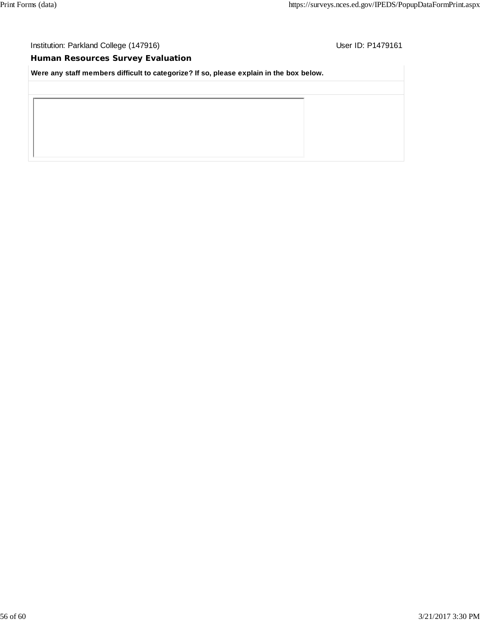## **Human Resources Survey Evaluation**

**Were any staff members difficult to categorize? If so, please explain in the box below.**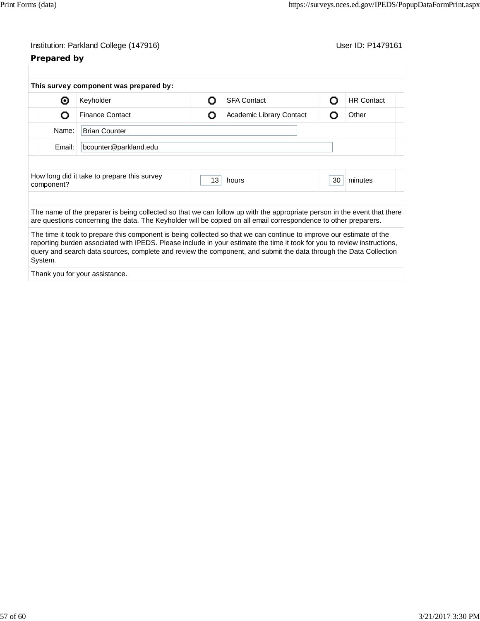| Institution: Parkland College (147916) |  |  |
|----------------------------------------|--|--|
|                                        |  |  |

# **Prepared by**

User ID: P1479161

| Keyholder                                   | <b>SFA Contact</b><br>റ                |                          | Ω  | <b>HR Contact</b>                                                                                                                                                                                                                           |
|---------------------------------------------|----------------------------------------|--------------------------|----|---------------------------------------------------------------------------------------------------------------------------------------------------------------------------------------------------------------------------------------------|
| <b>Finance Contact</b>                      | О                                      | Academic Library Contact | Ω  | Other                                                                                                                                                                                                                                       |
| <b>Brian Counter</b>                        |                                        |                          |    |                                                                                                                                                                                                                                             |
| bcounter@parkland.edu                       |                                        |                          |    |                                                                                                                                                                                                                                             |
|                                             |                                        |                          |    |                                                                                                                                                                                                                                             |
| How long did it take to prepare this survey | 13                                     | hours                    | 30 | minutes                                                                                                                                                                                                                                     |
|                                             |                                        |                          |    |                                                                                                                                                                                                                                             |
|                                             |                                        |                          |    |                                                                                                                                                                                                                                             |
|                                             |                                        |                          |    |                                                                                                                                                                                                                                             |
|                                             | This survey component was prepared by: |                          |    | The name of the preparer is being collected so that we can follow up with the appropriate person in the event that there<br>are questions concerning the data. The Keyholder will be copied on all email correspondence to other preparers. |

Thank you for your assistance.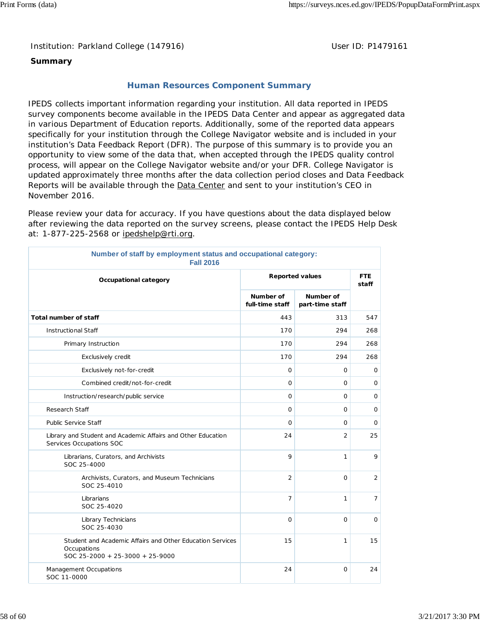Institution: Parkland College (147916) **Distribution: Parkland College (1479161** College College College College College College College College College College College College College College College College College Colle

## **Summary**

## **Human Resources Component Summary**

IPEDS collects important information regarding your institution. All data reported in IPEDS survey components become available in the IPEDS Data Center and appear as aggregated data in various Department of Education reports. Additionally, some of the reported data appears specifically for your institution through the College Navigator website and is included in your institution's Data Feedback Report (DFR). The purpose of this summary is to provide you an opportunity to view some of the data that, when accepted through the IPEDS quality control process, will appear on the College Navigator website and/or your DFR. College Navigator is updated approximately three months after the data collection period closes and Data Feedback Reports will be available through the **Data Center** and sent to your institution's CEO in November 2016.

Please review your data for accuracy. If you have questions about the data displayed below after reviewing the data reported on the survey screens, please contact the IPEDS Help Desk at: 1-877-225-2568 or ipedshelp@rti.org.

| Number of staff by employment status and occupational category:<br><b>Fall 2016</b>                         |                              |                              |                     |  |
|-------------------------------------------------------------------------------------------------------------|------------------------------|------------------------------|---------------------|--|
| <b>Reported values</b><br>Occupational category                                                             |                              |                              | <b>FTE</b><br>staff |  |
|                                                                                                             | Number of<br>full-time staff | Number of<br>part-time staff |                     |  |
| <b>Total number of staff</b>                                                                                | 443                          | 313                          | 547                 |  |
| <b>Instructional Staff</b>                                                                                  | 170                          | 294                          | 268                 |  |
| Primary Instruction                                                                                         | 170                          | 294                          | 268                 |  |
| Exclusively credit                                                                                          | 170                          | 294                          | 268                 |  |
| Exclusively not-for-credit                                                                                  | 0                            | 0                            | 0                   |  |
| Combined credit/not-for-credit                                                                              | $\mathbf 0$                  | 0                            | $\mathsf{O}$        |  |
| Instruction/research/public service                                                                         | 0                            | 0                            | 0                   |  |
| Research Staff                                                                                              | $\mathbf 0$                  | 0                            | $\mathbf 0$         |  |
| <b>Public Service Staff</b>                                                                                 | $\mathbf 0$                  | 0                            | 0                   |  |
| Library and Student and Academic Affairs and Other Education<br>Services Occupations SOC                    | 24                           | $\overline{2}$               | 25                  |  |
| Librarians, Curators, and Archivists<br>SOC 25-4000                                                         | 9                            | 1                            | 9                   |  |
| Archivists, Curators, and Museum Technicians<br>SOC 25-4010                                                 | $\overline{2}$               | $\Omega$                     | $\overline{2}$      |  |
| Librarians<br>SOC 25-4020                                                                                   | $\overline{7}$               | 1                            | $\overline{7}$      |  |
| Library Technicians<br>SOC 25-4030                                                                          | $\mathbf 0$                  | $\Omega$                     | $\circ$             |  |
| Student and Academic Affairs and Other Education Services<br>Occupations<br>SOC 25-2000 + 25-3000 + 25-9000 | 15                           | 1                            | 15                  |  |
| Management Occupations<br>SOC 11-0000                                                                       | 24                           | 0                            | 24                  |  |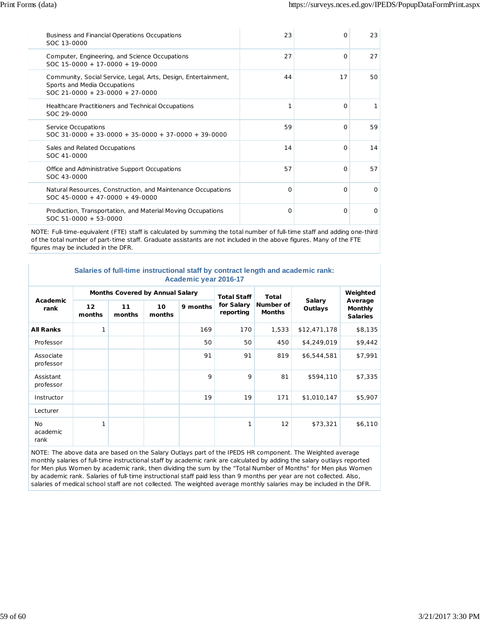| Business and Financial Operations Occupations<br>SOC 13-0000                                                                        | 23 | $\Omega$ | 23       |
|-------------------------------------------------------------------------------------------------------------------------------------|----|----------|----------|
| Computer, Engineering, and Science Occupations<br>$SOC 15-0000 + 17-0000 + 19-0000$                                                 | 27 | $\Omega$ | 27       |
| Community, Social Service, Legal, Arts, Design, Entertainment,<br>Sports and Media Occupations<br>$SOC$ 21-0000 + 23-0000 + 27-0000 | 44 | 17       | 50       |
| Healthcare Practitioners and Technical Occupations<br>SOC 29-0000                                                                   | 1  | $\Omega$ |          |
| Service Occupations<br>$SOC$ 31-0000 + 33-0000 + 35-0000 + 37-0000 + 39-0000                                                        | 59 | $\Omega$ | 59       |
| Sales and Related Occupations<br>SOC 41-0000                                                                                        | 14 | $\Omega$ | 14       |
| Office and Administrative Support Occupations<br>SOC 43-0000                                                                        | 57 | $\Omega$ | 57       |
| Natural Resources, Construction, and Maintenance Occupations<br>$SOC$ 45-0000 + 47-0000 + 49-0000                                   | O  | $\Omega$ | $\Omega$ |
| Production, Transportation, and Material Moving Occupations<br>$SOC 51-0000 + 53-0000$                                              | O  | $\Omega$ | $\Omega$ |

NOTE: Full-time-equivalent (FTE) staff is calculated by summing the total number of full-time staff and adding one-third of the total number of part-time staff. Graduate assistants are not included in the above figures. Many of the FTE figures may be included in the DFR.

| Salaries of full-time instructional staff by contract length and academic rank: |  |  |  |  |  |
|---------------------------------------------------------------------------------|--|--|--|--|--|
| Academic year 2016-17                                                           |  |  |  |  |  |

| Academic<br>rank              | <b>Months Covered by Annual Salary</b> |              |              | <b>Total Staff</b> | <b>Total</b>            |                            | Weighted                 |                                              |
|-------------------------------|----------------------------------------|--------------|--------------|--------------------|-------------------------|----------------------------|--------------------------|----------------------------------------------|
|                               | 12 <sup>2</sup><br>months              | 11<br>months | 10<br>months | 9 months           | for Salary<br>reporting | Number of<br><b>Months</b> | <b>Salary</b><br>Outlays | Average<br><b>Monthly</b><br><b>Salaries</b> |
| <b>All Ranks</b>              | 1                                      |              |              | 169                | 170                     | 1,533                      | \$12,471,178             | \$8,135                                      |
| Professor                     |                                        |              |              | 50                 | 50                      | 450                        | \$4,249,019              | \$9,442                                      |
| Associate<br>professor        |                                        |              |              | 91                 | 91                      | 819                        | \$6,544,581              | \$7,991                                      |
| Assistant<br>professor        |                                        |              |              | 9                  | 9                       | 81                         | \$594,110                | \$7,335                                      |
| Instructor                    |                                        |              |              | 19                 | 19                      | 171                        | \$1,010,147              | \$5,907                                      |
| Lecturer                      |                                        |              |              |                    |                         |                            |                          |                                              |
| <b>No</b><br>academic<br>rank | 1                                      |              |              |                    | 1                       | 12                         | \$73,321                 | \$6,110                                      |

NOTE: The above data are based on the Salary Outlays part of the IPEDS HR component. The Weighted average monthly salaries of full-time instructional staff by academic rank are calculated by adding the salary outlays reported for Men plus Women by academic rank, then dividing the sum by the "Total Number of Months" for Men plus Women by academic rank. Salaries of full-time instructional staff paid less than 9 months per year are not collected. Also, salaries of medical school staff are not collected. The weighted average monthly salaries may be included in the DFR.